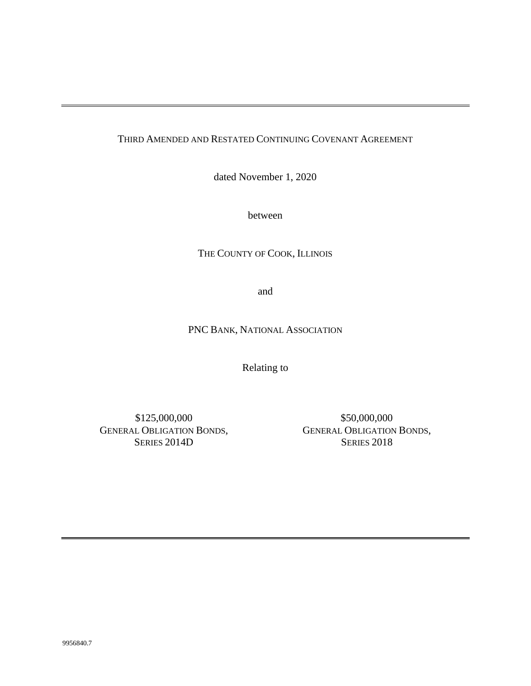# THIRD AMENDED AND RESTATED CONTINUING COVENANT AGREEMENT

dated November 1, 2020

between

THE COUNTY OF COOK, ILLINOIS

and

PNC BANK, NATIONAL ASSOCIATION

Relating to

\$125,000,000 GENERAL OBLIGATION BONDS, SERIES 2014D

\$50,000,000 GENERAL OBLIGATION BONDS, SERIES 2018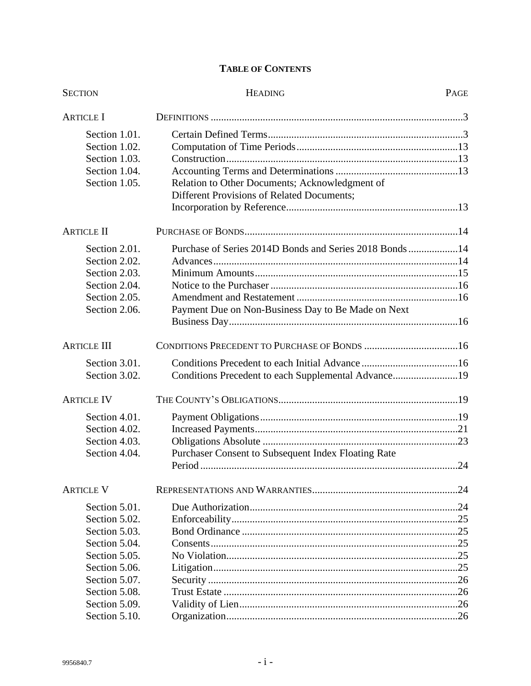# **TABLE OF CONTENTS**

| <b>SECTION</b>     | <b>HEADING</b>                                          | PAGE |
|--------------------|---------------------------------------------------------|------|
| <b>ARTICLE I</b>   |                                                         |      |
| Section 1.01.      |                                                         |      |
| Section 1.02.      |                                                         |      |
| Section 1.03.      |                                                         |      |
| Section 1.04.      |                                                         |      |
| Section 1.05.      | Relation to Other Documents; Acknowledgment of          |      |
|                    | Different Provisions of Related Documents;              |      |
|                    |                                                         |      |
| <b>ARTICLE II</b>  |                                                         |      |
| Section 2.01.      | Purchase of Series 2014D Bonds and Series 2018 Bonds 14 |      |
| Section 2.02.      |                                                         |      |
| Section 2.03.      |                                                         |      |
| Section 2.04.      |                                                         |      |
| Section 2.05.      |                                                         |      |
| Section 2.06.      | Payment Due on Non-Business Day to Be Made on Next      |      |
|                    |                                                         |      |
| <b>ARTICLE III</b> |                                                         |      |
| Section 3.01.      |                                                         |      |
| Section 3.02.      | Conditions Precedent to each Supplemental Advance19     |      |
| <b>ARTICLE IV</b>  |                                                         |      |
| Section 4.01.      |                                                         |      |
| Section 4.02.      |                                                         |      |
| Section 4.03.      |                                                         |      |
| Section 4.04.      | Purchaser Consent to Subsequent Index Floating Rate     |      |
|                    |                                                         |      |
| <b>ARTICLE V</b>   |                                                         |      |
| Section 5.01.      |                                                         |      |
| Section 5.02.      |                                                         |      |
| Section 5.03.      |                                                         |      |
| Section 5.04.      |                                                         |      |
| Section 5.05.      |                                                         |      |
| Section 5.06.      |                                                         |      |
| Section 5.07.      |                                                         |      |
| Section 5.08.      |                                                         |      |
| Section 5.09.      |                                                         |      |
| Section 5.10.      |                                                         |      |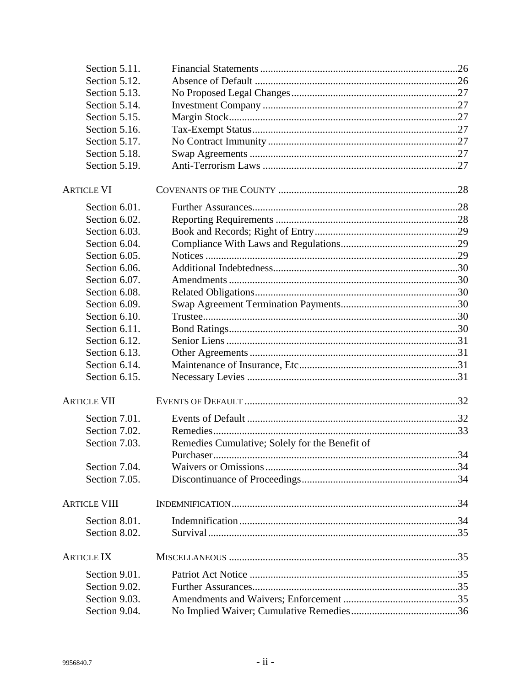| Section 5.11.       |                                                |  |
|---------------------|------------------------------------------------|--|
| Section 5.12.       |                                                |  |
| Section 5.13.       |                                                |  |
| Section 5.14.       |                                                |  |
| Section 5.15.       |                                                |  |
| Section 5.16.       |                                                |  |
| Section 5.17.       |                                                |  |
| Section 5.18.       |                                                |  |
| Section 5.19.       |                                                |  |
| <b>ARTICLE VI</b>   |                                                |  |
| Section 6.01.       |                                                |  |
| Section 6.02.       |                                                |  |
| Section 6.03.       |                                                |  |
| Section 6.04.       |                                                |  |
| Section 6.05.       |                                                |  |
| Section 6.06.       |                                                |  |
| Section 6.07.       |                                                |  |
| Section 6.08.       |                                                |  |
| Section 6.09.       |                                                |  |
| Section 6.10.       |                                                |  |
| Section 6.11.       |                                                |  |
| Section 6.12.       |                                                |  |
| Section 6.13.       |                                                |  |
| Section 6.14.       |                                                |  |
| Section 6.15.       |                                                |  |
| <b>ARTICLE VII</b>  |                                                |  |
| Section 7.01.       |                                                |  |
| Section 7.02.       |                                                |  |
| Section 7.03.       | Remedies Cumulative; Solely for the Benefit of |  |
| Section 7.04.       |                                                |  |
| Section 7.05.       |                                                |  |
|                     |                                                |  |
| <b>ARTICLE VIII</b> |                                                |  |
| Section 8.01.       |                                                |  |
| Section 8.02.       |                                                |  |
| <b>ARTICLE IX</b>   |                                                |  |
| Section 9.01.       |                                                |  |
| Section 9.02.       |                                                |  |
| Section 9.03.       |                                                |  |
| Section 9.04.       |                                                |  |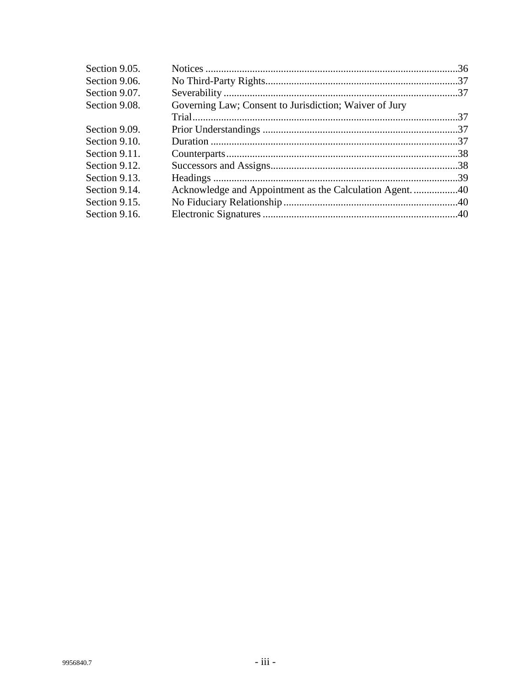| Section 9.05. |                                                        |  |
|---------------|--------------------------------------------------------|--|
| Section 9.06. |                                                        |  |
| Section 9.07. |                                                        |  |
| Section 9.08. | Governing Law; Consent to Jurisdiction; Waiver of Jury |  |
|               |                                                        |  |
| Section 9.09. |                                                        |  |
| Section 9.10. |                                                        |  |
| Section 9.11. |                                                        |  |
| Section 9.12. |                                                        |  |
| Section 9.13. |                                                        |  |
| Section 9.14. |                                                        |  |
| Section 9.15. |                                                        |  |
| Section 9.16. |                                                        |  |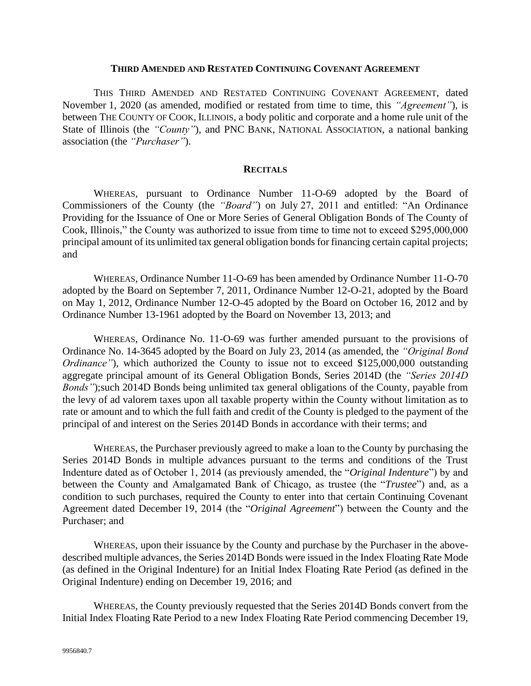#### **THIRD AMENDED AND RESTATED CONTINUING COVENANT AGREEMENT**

THIS THIRD AMENDED AND RESTATED CONTINUING COVENANT AGREEMENT, dated November 1, 2020 (as amended, modified or restated from time to time, this *"Agreement"*), is between THE COUNTY OF COOK, ILLINOIS, a body politic and corporate and a home rule unit of the State of Illinois (the *"County"*), and PNC BANK, NATIONAL ASSOCIATION, a national banking association (the *"Purchaser"*).

#### **RECITALS**

WHEREAS*,* pursuant to Ordinance Number 11-O-69 adopted by the Board of Commissioners of the County (the *"Board"*) on July 27, 2011 and entitled: "An Ordinance Providing for the Issuance of One or More Series of General Obligation Bonds of The County of Cook, Illinois," the County was authorized to issue from time to time not to exceed \$295,000,000 principal amount of its unlimited tax general obligation bonds for financing certain capital projects; and

WHEREAS*,* Ordinance Number 11-O-69 has been amended by Ordinance Number 11-O-70 adopted by the Board on September 7, 2011, Ordinance Number 12-O-21, adopted by the Board on May 1, 2012, Ordinance Number 12-O-45 adopted by the Board on October 16, 2012 and by Ordinance Number 13-1961 adopted by the Board on November 13, 2013; and

WHEREAS*,* Ordinance No. 11-O-69 was further amended pursuant to the provisions of Ordinance No. 14-3645 adopted by the Board on July 23, 2014 (as amended, the *"Original Bond Ordinance"*), which authorized the County to issue not to exceed \$125,000,000 outstanding aggregate principal amount of its General Obligation Bonds, Series 2014D (the *"Series 2014D Bonds"*);such 2014D Bonds being unlimited tax general obligations of the County, payable from the levy of ad valorem taxes upon all taxable property within the County without limitation as to rate or amount and to which the full faith and credit of the County is pledged to the payment of the principal of and interest on the Series 2014D Bonds in accordance with their terms; and

WHEREAS, the Purchaser previously agreed to make a loan to the County by purchasing the Series 2014D Bonds in multiple advances pursuant to the terms and conditions of the Trust Indenture dated as of October 1, 2014 (as previously amended, the "*Original Indenture*") by and between the County and Amalgamated Bank of Chicago, as trustee (the "*Trustee*") and, as a condition to such purchases, required the County to enter into that certain Continuing Covenant Agreement dated December 19, 2014 (the "*Original Agreement*") between the County and the Purchaser; and

WHEREAS, upon their issuance by the County and purchase by the Purchaser in the abovedescribed multiple advances, the Series 2014D Bonds were issued in the Index Floating Rate Mode (as defined in the Original Indenture) for an Initial Index Floating Rate Period (as defined in the Original Indenture) ending on December 19, 2016; and

WHEREAS, the County previously requested that the Series 2014D Bonds convert from the Initial Index Floating Rate Period to a new Index Floating Rate Period commencing December 19,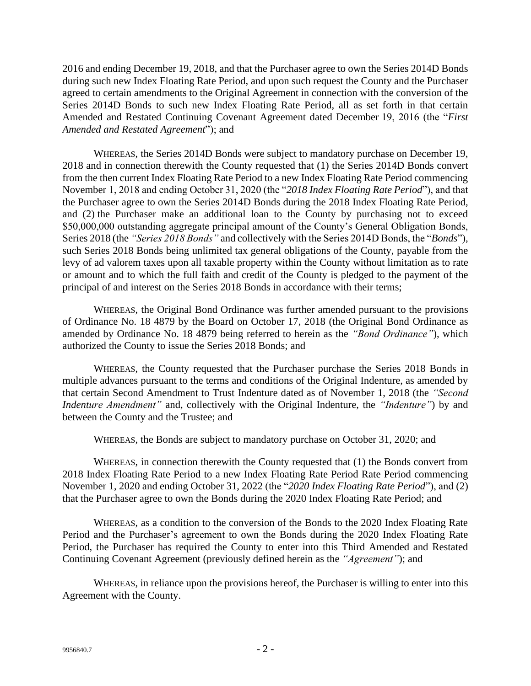2016 and ending December 19, 2018, and that the Purchaser agree to own the Series 2014D Bonds during such new Index Floating Rate Period, and upon such request the County and the Purchaser agreed to certain amendments to the Original Agreement in connection with the conversion of the Series 2014D Bonds to such new Index Floating Rate Period, all as set forth in that certain Amended and Restated Continuing Covenant Agreement dated December 19, 2016 (the "*First Amended and Restated Agreement*"); and

WHEREAS, the Series 2014D Bonds were subject to mandatory purchase on December 19, 2018 and in connection therewith the County requested that (1) the Series 2014D Bonds convert from the then current Index Floating Rate Period to a new Index Floating Rate Period commencing November 1, 2018 and ending October 31, 2020 (the "*2018 Index Floating Rate Period*"), and that the Purchaser agree to own the Series 2014D Bonds during the 2018 Index Floating Rate Period, and (2) the Purchaser make an additional loan to the County by purchasing not to exceed \$50,000,000 outstanding aggregate principal amount of the County's General Obligation Bonds, Series 2018 (the *"Series 2018 Bonds"* and collectively with the Series 2014D Bonds, the "*Bonds*"), such Series 2018 Bonds being unlimited tax general obligations of the County, payable from the levy of ad valorem taxes upon all taxable property within the County without limitation as to rate or amount and to which the full faith and credit of the County is pledged to the payment of the principal of and interest on the Series 2018 Bonds in accordance with their terms;

WHEREAS, the Original Bond Ordinance was further amended pursuant to the provisions of Ordinance No. 18 4879 by the Board on October 17, 2018 (the Original Bond Ordinance as amended by Ordinance No. 18 4879 being referred to herein as the *"Bond Ordinance"*), which authorized the County to issue the Series 2018 Bonds; and

WHEREAS, the County requested that the Purchaser purchase the Series 2018 Bonds in multiple advances pursuant to the terms and conditions of the Original Indenture, as amended by that certain Second Amendment to Trust Indenture dated as of November 1, 2018 (the *"Second Indenture Amendment"* and, collectively with the Original Indenture, the *"Indenture"*) by and between the County and the Trustee; and

WHEREAS, the Bonds are subject to mandatory purchase on October 31, 2020; and

WHEREAS, in connection therewith the County requested that (1) the Bonds convert from 2018 Index Floating Rate Period to a new Index Floating Rate Period Rate Period commencing November 1, 2020 and ending October 31, 2022 (the "*2020 Index Floating Rate Period*"), and (2) that the Purchaser agree to own the Bonds during the 2020 Index Floating Rate Period; and

WHEREAS, as a condition to the conversion of the Bonds to the 2020 Index Floating Rate Period and the Purchaser's agreement to own the Bonds during the 2020 Index Floating Rate Period, the Purchaser has required the County to enter into this Third Amended and Restated Continuing Covenant Agreement (previously defined herein as the *"Agreement"*); and

WHEREAS, in reliance upon the provisions hereof, the Purchaser is willing to enter into this Agreement with the County.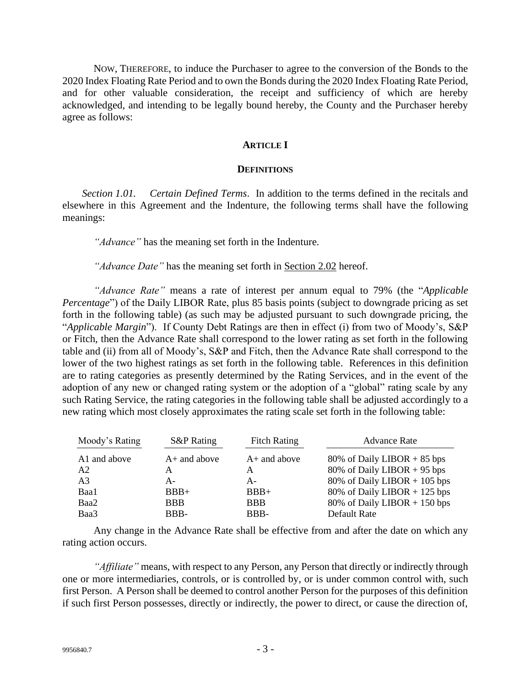NOW, THEREFORE, to induce the Purchaser to agree to the conversion of the Bonds to the 2020 Index Floating Rate Period and to own the Bonds during the 2020 Index Floating Rate Period, and for other valuable consideration, the receipt and sufficiency of which are hereby acknowledged, and intending to be legally bound hereby, the County and the Purchaser hereby agree as follows:

#### **ARTICLE I**

#### **DEFINITIONS**

*Section 1.01. Certain Defined Terms*. In addition to the terms defined in the recitals and elsewhere in this Agreement and the Indenture, the following terms shall have the following meanings:

*"Advance"* has the meaning set forth in the Indenture.

*"Advance Date"* has the meaning set forth in Section 2.02 hereof.

*"Advance Rate"* means a rate of interest per annum equal to 79% (the "*Applicable Percentage*") of the Daily LIBOR Rate, plus 85 basis points (subject to downgrade pricing as set forth in the following table) (as such may be adjusted pursuant to such downgrade pricing, the "*Applicable Margin*"). If County Debt Ratings are then in effect (i) from two of Moody's, S&P or Fitch, then the Advance Rate shall correspond to the lower rating as set forth in the following table and (ii) from all of Moody's, S&P and Fitch, then the Advance Rate shall correspond to the lower of the two highest ratings as set forth in the following table. References in this definition are to rating categories as presently determined by the Rating Services, and in the event of the adoption of any new or changed rating system or the adoption of a "global" rating scale by any such Rating Service, the rating categories in the following table shall be adjusted accordingly to a new rating which most closely approximates the rating scale set forth in the following table:

| Moody's Rating | <b>S&amp;P</b> Rating | <b>Fitch Rating</b> | <b>Advance Rate</b>            |
|----------------|-----------------------|---------------------|--------------------------------|
| A1 and above   | $A+$ and above        | $A+$ and above      | 80% of Daily LIBOR $+ 85$ bps  |
| A2             | А                     | А                   | 80% of Daily LIBOR $+$ 95 bps  |
| A <sub>3</sub> | $A -$                 | $A -$               | 80% of Daily LIBOR $+$ 105 bps |
| Baa1           | $BBB+$                | $BBB+$              | 80% of Daily LIBOR + 125 bps   |
| Baa2           | <b>BBB</b>            | <b>BBB</b>          | 80% of Daily LIBOR $+$ 150 bps |
| Baa3           | BBB-                  | BBB-                | Default Rate                   |

Any change in the Advance Rate shall be effective from and after the date on which any rating action occurs.

*"Affiliate"* means, with respect to any Person, any Person that directly or indirectly through one or more intermediaries, controls, or is controlled by, or is under common control with, such first Person. A Person shall be deemed to control another Person for the purposes of this definition if such first Person possesses, directly or indirectly, the power to direct, or cause the direction of,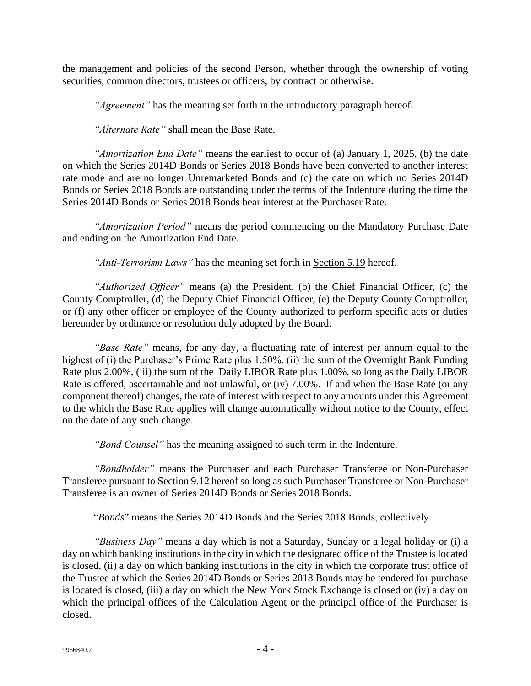the management and policies of the second Person, whether through the ownership of voting securities, common directors, trustees or officers, by contract or otherwise.

*"Agreement"* has the meaning set forth in the introductory paragraph hereof.

*"Alternate Rate"* shall mean the Base Rate.

*"Amortization End Date"* means the earliest to occur of (a) January 1, 2025, (b) the date on which the Series 2014D Bonds or Series 2018 Bonds have been converted to another interest rate mode and are no longer Unremarketed Bonds and (c) the date on which no Series 2014D Bonds or Series 2018 Bonds are outstanding under the terms of the Indenture during the time the Series 2014D Bonds or Series 2018 Bonds bear interest at the Purchaser Rate.

*"Amortization Period"* means the period commencing on the Mandatory Purchase Date and ending on the Amortization End Date.

*"Anti-Terrorism Laws"* has the meaning set forth in Section 5.19 hereof.

*"Authorized Officer"* means (a) the President, (b) the Chief Financial Officer, (c) the County Comptroller, (d) the Deputy Chief Financial Officer, (e) the Deputy County Comptroller, or (f) any other officer or employee of the County authorized to perform specific acts or duties hereunder by ordinance or resolution duly adopted by the Board.

*"Base Rate"* means, for any day, a fluctuating rate of interest per annum equal to the highest of (i) the Purchaser's Prime Rate plus 1.50%, (ii) the sum of the Overnight Bank Funding Rate plus 2.00%, (iii) the sum of the Daily LIBOR Rate plus 1.00%, so long as the Daily LIBOR Rate is offered, ascertainable and not unlawful, or (iv) 7.00%. If and when the Base Rate (or any component thereof) changes, the rate of interest with respect to any amounts under this Agreement to the which the Base Rate applies will change automatically without notice to the County, effect on the date of any such change.

*"Bond Counsel"* has the meaning assigned to such term in the Indenture.

*"Bondholder"* means the Purchaser and each Purchaser Transferee or Non-Purchaser Transferee pursuant to Section 9.12 hereof so long as such Purchaser Transferee or Non-Purchaser Transferee is an owner of Series 2014D Bonds or Series 2018 Bonds.

"*Bonds*" means the Series 2014D Bonds and the Series 2018 Bonds, collectively.

*"Business Day"* means a day which is not a Saturday, Sunday or a legal holiday or (i) a day on which banking institutions in the city in which the designated office of the Trustee is located is closed, (ii) a day on which banking institutions in the city in which the corporate trust office of the Trustee at which the Series 2014D Bonds or Series 2018 Bonds may be tendered for purchase is located is closed, (iii) a day on which the New York Stock Exchange is closed or (iv) a day on which the principal offices of the Calculation Agent or the principal office of the Purchaser is closed.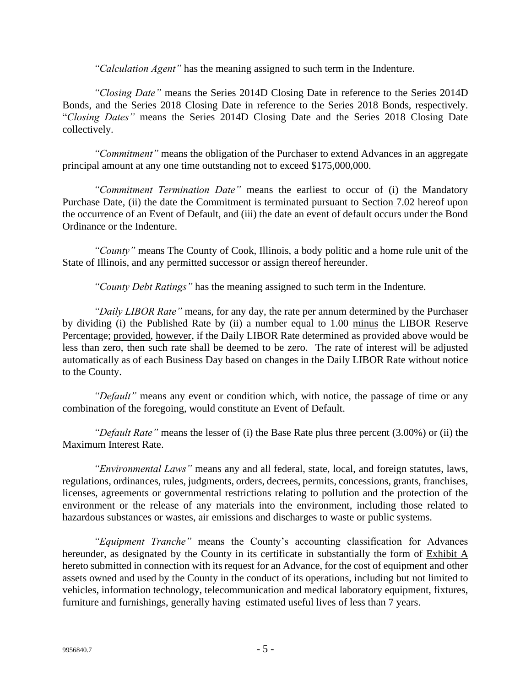*"Calculation Agent"* has the meaning assigned to such term in the Indenture.

*"Closing Date"* means the Series 2014D Closing Date in reference to the Series 2014D Bonds, and the Series 2018 Closing Date in reference to the Series 2018 Bonds, respectively. "*Closing Dates"* means the Series 2014D Closing Date and the Series 2018 Closing Date collectively.

*"Commitment"* means the obligation of the Purchaser to extend Advances in an aggregate principal amount at any one time outstanding not to exceed \$175,000,000.

*"Commitment Termination Date"* means the earliest to occur of (i) the Mandatory Purchase Date, (ii) the date the Commitment is terminated pursuant to Section 7.02 hereof upon the occurrence of an Event of Default, and (iii) the date an event of default occurs under the Bond Ordinance or the Indenture.

*"County"* means The County of Cook, Illinois, a body politic and a home rule unit of the State of Illinois, and any permitted successor or assign thereof hereunder.

*"County Debt Ratings"* has the meaning assigned to such term in the Indenture.

*"Daily LIBOR Rate"* means, for any day, the rate per annum determined by the Purchaser by dividing (i) the Published Rate by (ii) a number equal to 1.00 minus the LIBOR Reserve Percentage; provided, however, if the Daily LIBOR Rate determined as provided above would be less than zero, then such rate shall be deemed to be zero. The rate of interest will be adjusted automatically as of each Business Day based on changes in the Daily LIBOR Rate without notice to the County.

*"Default"* means any event or condition which, with notice, the passage of time or any combination of the foregoing, would constitute an Event of Default.

*"Default Rate"* means the lesser of (i) the Base Rate plus three percent (3.00%) or (ii) the Maximum Interest Rate.

*"Environmental Laws"* means any and all federal, state, local, and foreign statutes, laws, regulations, ordinances, rules, judgments, orders, decrees, permits, concessions, grants, franchises, licenses, agreements or governmental restrictions relating to pollution and the protection of the environment or the release of any materials into the environment, including those related to hazardous substances or wastes, air emissions and discharges to waste or public systems.

*"Equipment Tranche"* means the County's accounting classification for Advances hereunder, as designated by the County in its certificate in substantially the form of Exhibit A hereto submitted in connection with its request for an Advance, for the cost of equipment and other assets owned and used by the County in the conduct of its operations, including but not limited to vehicles, information technology, telecommunication and medical laboratory equipment, fixtures, furniture and furnishings, generally having estimated useful lives of less than 7 years.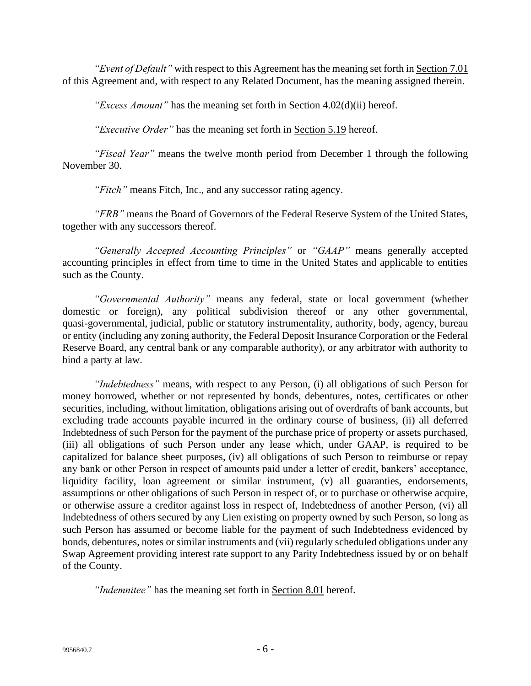*"Event of Default"* with respect to this Agreement has the meaning set forth in Section 7.01 of this Agreement and, with respect to any Related Document, has the meaning assigned therein.

*"Excess Amount"* has the meaning set forth in Section 4.02(d)(ii) hereof.

*"Executive Order"* has the meaning set forth in Section 5.19 hereof.

*"Fiscal Year"* means the twelve month period from December 1 through the following November 30.

*"Fitch"* means Fitch, Inc., and any successor rating agency.

*"FRB"* means the Board of Governors of the Federal Reserve System of the United States, together with any successors thereof.

*"Generally Accepted Accounting Principles"* or *"GAAP"* means generally accepted accounting principles in effect from time to time in the United States and applicable to entities such as the County.

*"Governmental Authority"* means any federal, state or local government (whether domestic or foreign), any political subdivision thereof or any other governmental, quasi-governmental, judicial, public or statutory instrumentality, authority, body, agency, bureau or entity (including any zoning authority, the Federal Deposit Insurance Corporation or the Federal Reserve Board, any central bank or any comparable authority), or any arbitrator with authority to bind a party at law.

*"Indebtedness"* means, with respect to any Person, (i) all obligations of such Person for money borrowed, whether or not represented by bonds, debentures, notes, certificates or other securities, including, without limitation, obligations arising out of overdrafts of bank accounts, but excluding trade accounts payable incurred in the ordinary course of business, (ii) all deferred Indebtedness of such Person for the payment of the purchase price of property or assets purchased, (iii) all obligations of such Person under any lease which, under GAAP, is required to be capitalized for balance sheet purposes, (iv) all obligations of such Person to reimburse or repay any bank or other Person in respect of amounts paid under a letter of credit, bankers' acceptance, liquidity facility, loan agreement or similar instrument, (v) all guaranties, endorsements, assumptions or other obligations of such Person in respect of, or to purchase or otherwise acquire, or otherwise assure a creditor against loss in respect of, Indebtedness of another Person, (vi) all Indebtedness of others secured by any Lien existing on property owned by such Person, so long as such Person has assumed or become liable for the payment of such Indebtedness evidenced by bonds, debentures, notes or similar instruments and (vii) regularly scheduled obligations under any Swap Agreement providing interest rate support to any Parity Indebtedness issued by or on behalf of the County.

*"Indemnitee"* has the meaning set forth in Section 8.01 hereof.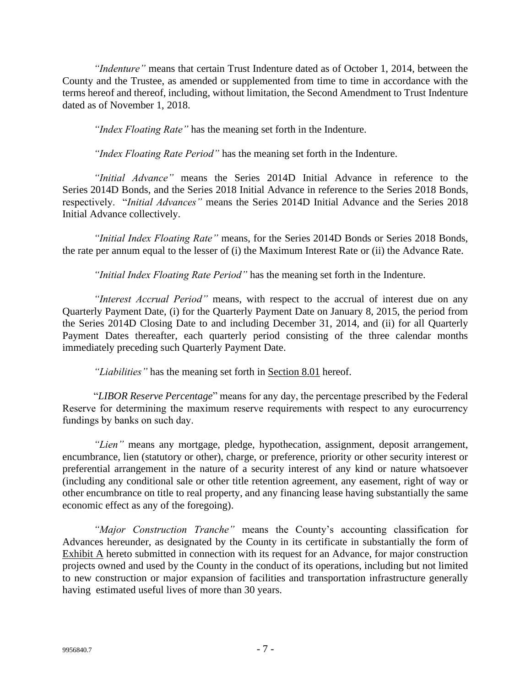*"Indenture"* means that certain Trust Indenture dated as of October 1, 2014, between the County and the Trustee, as amended or supplemented from time to time in accordance with the terms hereof and thereof, including, without limitation, the Second Amendment to Trust Indenture dated as of November 1, 2018.

*"Index Floating Rate"* has the meaning set forth in the Indenture.

*"Index Floating Rate Period"* has the meaning set forth in the Indenture.

*"Initial Advance"* means the Series 2014D Initial Advance in reference to the Series 2014D Bonds, and the Series 2018 Initial Advance in reference to the Series 2018 Bonds, respectively. "*Initial Advances"* means the Series 2014D Initial Advance and the Series 2018 Initial Advance collectively.

*"Initial Index Floating Rate"* means, for the Series 2014D Bonds or Series 2018 Bonds, the rate per annum equal to the lesser of (i) the Maximum Interest Rate or (ii) the Advance Rate.

*"Initial Index Floating Rate Period"* has the meaning set forth in the Indenture.

*"Interest Accrual Period"* means, with respect to the accrual of interest due on any Quarterly Payment Date, (i) for the Quarterly Payment Date on January 8, 2015, the period from the Series 2014D Closing Date to and including December 31, 2014, and (ii) for all Quarterly Payment Dates thereafter, each quarterly period consisting of the three calendar months immediately preceding such Quarterly Payment Date.

*"Liabilities"* has the meaning set forth in Section 8.01 hereof.

"*LIBOR Reserve Percentage*" means for any day, the percentage prescribed by the Federal Reserve for determining the maximum reserve requirements with respect to any eurocurrency fundings by banks on such day.

*"Lien"* means any mortgage, pledge, hypothecation, assignment, deposit arrangement, encumbrance, lien (statutory or other), charge, or preference, priority or other security interest or preferential arrangement in the nature of a security interest of any kind or nature whatsoever (including any conditional sale or other title retention agreement, any easement, right of way or other encumbrance on title to real property, and any financing lease having substantially the same economic effect as any of the foregoing).

*"Major Construction Tranche"* means the County's accounting classification for Advances hereunder, as designated by the County in its certificate in substantially the form of Exhibit A hereto submitted in connection with its request for an Advance, for major construction projects owned and used by the County in the conduct of its operations, including but not limited to new construction or major expansion of facilities and transportation infrastructure generally having estimated useful lives of more than 30 years.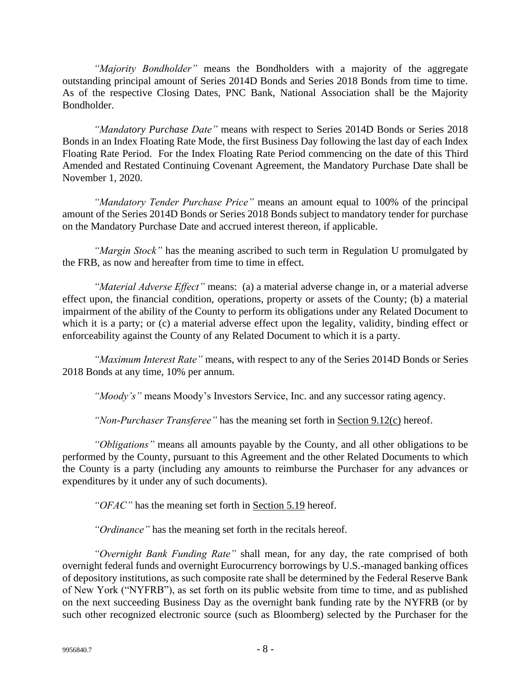*"Majority Bondholder"* means the Bondholders with a majority of the aggregate outstanding principal amount of Series 2014D Bonds and Series 2018 Bonds from time to time. As of the respective Closing Dates, PNC Bank, National Association shall be the Majority Bondholder.

*"Mandatory Purchase Date"* means with respect to Series 2014D Bonds or Series 2018 Bonds in an Index Floating Rate Mode, the first Business Day following the last day of each Index Floating Rate Period. For the Index Floating Rate Period commencing on the date of this Third Amended and Restated Continuing Covenant Agreement, the Mandatory Purchase Date shall be November 1, 2020.

*"Mandatory Tender Purchase Price"* means an amount equal to 100% of the principal amount of the Series 2014D Bonds or Series 2018 Bonds subject to mandatory tender for purchase on the Mandatory Purchase Date and accrued interest thereon, if applicable.

*"Margin Stock"* has the meaning ascribed to such term in Regulation U promulgated by the FRB, as now and hereafter from time to time in effect.

*"Material Adverse Effect"* means: (a) a material adverse change in, or a material adverse effect upon, the financial condition, operations, property or assets of the County; (b) a material impairment of the ability of the County to perform its obligations under any Related Document to which it is a party; or (c) a material adverse effect upon the legality, validity, binding effect or enforceability against the County of any Related Document to which it is a party.

*"Maximum Interest Rate"* means, with respect to any of the Series 2014D Bonds or Series 2018 Bonds at any time, 10% per annum.

*"Moody's"* means Moody's Investors Service, Inc. and any successor rating agency.

*"Non-Purchaser Transferee"* has the meaning set forth in Section 9.12(c) hereof.

*"Obligations"* means all amounts payable by the County, and all other obligations to be performed by the County, pursuant to this Agreement and the other Related Documents to which the County is a party (including any amounts to reimburse the Purchaser for any advances or expenditures by it under any of such documents).

*"OFAC"* has the meaning set forth in Section 5.19 hereof.

*"Ordinance"* has the meaning set forth in the recitals hereof.

*"Overnight Bank Funding Rate"* shall mean, for any day, the rate comprised of both overnight federal funds and overnight Eurocurrency borrowings by U.S.-managed banking offices of depository institutions, as such composite rate shall be determined by the Federal Reserve Bank of New York ("NYFRB"), as set forth on its public website from time to time, and as published on the next succeeding Business Day as the overnight bank funding rate by the NYFRB (or by such other recognized electronic source (such as Bloomberg) selected by the Purchaser for the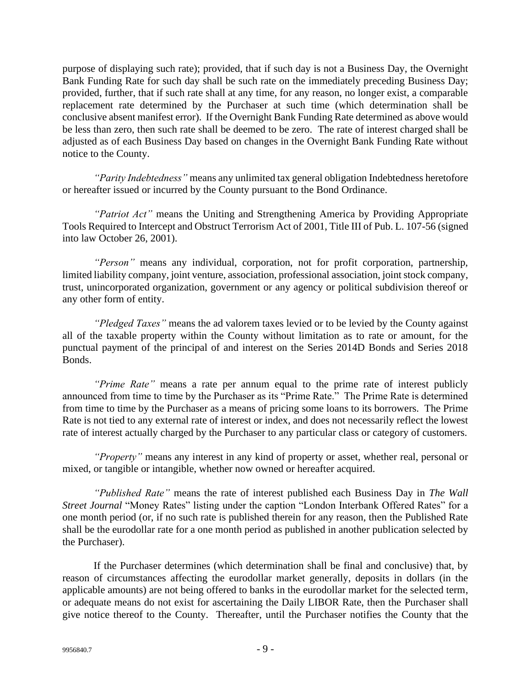purpose of displaying such rate); provided, that if such day is not a Business Day, the Overnight Bank Funding Rate for such day shall be such rate on the immediately preceding Business Day; provided, further, that if such rate shall at any time, for any reason, no longer exist, a comparable replacement rate determined by the Purchaser at such time (which determination shall be conclusive absent manifest error). If the Overnight Bank Funding Rate determined as above would be less than zero, then such rate shall be deemed to be zero. The rate of interest charged shall be adjusted as of each Business Day based on changes in the Overnight Bank Funding Rate without notice to the County.

*"Parity Indebtedness"* means any unlimited tax general obligation Indebtedness heretofore or hereafter issued or incurred by the County pursuant to the Bond Ordinance.

*"Patriot Act"* means the Uniting and Strengthening America by Providing Appropriate Tools Required to Intercept and Obstruct Terrorism Act of 2001, Title III of Pub. L. 107-56 (signed into law October 26, 2001).

*"Person"* means any individual, corporation, not for profit corporation, partnership, limited liability company, joint venture, association, professional association, joint stock company, trust, unincorporated organization, government or any agency or political subdivision thereof or any other form of entity.

*"Pledged Taxes"* means the ad valorem taxes levied or to be levied by the County against all of the taxable property within the County without limitation as to rate or amount, for the punctual payment of the principal of and interest on the Series 2014D Bonds and Series 2018 Bonds.

*"Prime Rate"* means a rate per annum equal to the prime rate of interest publicly announced from time to time by the Purchaser as its "Prime Rate." The Prime Rate is determined from time to time by the Purchaser as a means of pricing some loans to its borrowers. The Prime Rate is not tied to any external rate of interest or index, and does not necessarily reflect the lowest rate of interest actually charged by the Purchaser to any particular class or category of customers.

*"Property"* means any interest in any kind of property or asset, whether real, personal or mixed, or tangible or intangible, whether now owned or hereafter acquired.

*"Published Rate"* means the rate of interest published each Business Day in *The Wall Street Journal* "Money Rates" listing under the caption "London Interbank Offered Rates" for a one month period (or, if no such rate is published therein for any reason, then the Published Rate shall be the eurodollar rate for a one month period as published in another publication selected by the Purchaser).

If the Purchaser determines (which determination shall be final and conclusive) that, by reason of circumstances affecting the eurodollar market generally, deposits in dollars (in the applicable amounts) are not being offered to banks in the eurodollar market for the selected term, or adequate means do not exist for ascertaining the Daily LIBOR Rate, then the Purchaser shall give notice thereof to the County. Thereafter, until the Purchaser notifies the County that the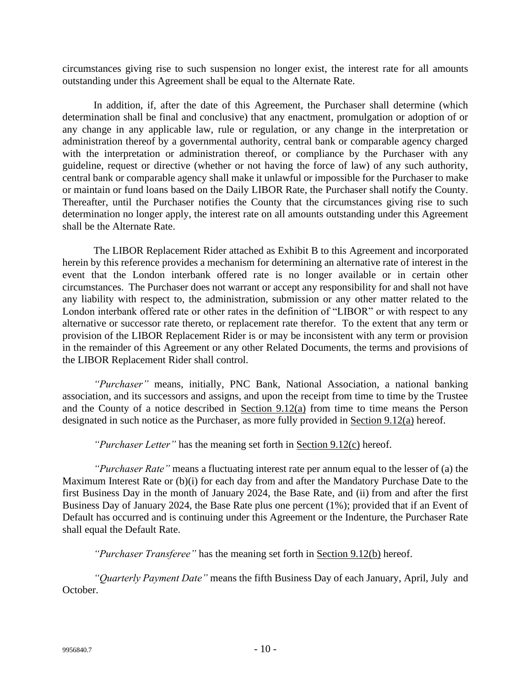circumstances giving rise to such suspension no longer exist, the interest rate for all amounts outstanding under this Agreement shall be equal to the Alternate Rate.

In addition, if, after the date of this Agreement, the Purchaser shall determine (which determination shall be final and conclusive) that any enactment, promulgation or adoption of or any change in any applicable law, rule or regulation, or any change in the interpretation or administration thereof by a governmental authority, central bank or comparable agency charged with the interpretation or administration thereof, or compliance by the Purchaser with any guideline, request or directive (whether or not having the force of law) of any such authority, central bank or comparable agency shall make it unlawful or impossible for the Purchaser to make or maintain or fund loans based on the Daily LIBOR Rate, the Purchaser shall notify the County. Thereafter, until the Purchaser notifies the County that the circumstances giving rise to such determination no longer apply, the interest rate on all amounts outstanding under this Agreement shall be the Alternate Rate.

The LIBOR Replacement Rider attached as Exhibit B to this Agreement and incorporated herein by this reference provides a mechanism for determining an alternative rate of interest in the event that the London interbank offered rate is no longer available or in certain other circumstances. The Purchaser does not warrant or accept any responsibility for and shall not have any liability with respect to, the administration, submission or any other matter related to the London interbank offered rate or other rates in the definition of "LIBOR" or with respect to any alternative or successor rate thereto, or replacement rate therefor. To the extent that any term or provision of the LIBOR Replacement Rider is or may be inconsistent with any term or provision in the remainder of this Agreement or any other Related Documents, the terms and provisions of the LIBOR Replacement Rider shall control.

*"Purchaser"* means, initially, PNC Bank, National Association, a national banking association, and its successors and assigns, and upon the receipt from time to time by the Trustee and the County of a notice described in Section 9.12(a) from time to time means the Person designated in such notice as the Purchaser, as more fully provided in Section 9.12(a) hereof.

*"Purchaser Letter"* has the meaning set forth in Section 9.12(c) hereof.

*"Purchaser Rate"* means a fluctuating interest rate per annum equal to the lesser of (a) the Maximum Interest Rate or (b)(i) for each day from and after the Mandatory Purchase Date to the first Business Day in the month of January 2024, the Base Rate, and (ii) from and after the first Business Day of January 2024, the Base Rate plus one percent (1%); provided that if an Event of Default has occurred and is continuing under this Agreement or the Indenture, the Purchaser Rate shall equal the Default Rate.

*"Purchaser Transferee"* has the meaning set forth in Section 9.12(b) hereof.

*"Quarterly Payment Date"* means the fifth Business Day of each January, April, July and October.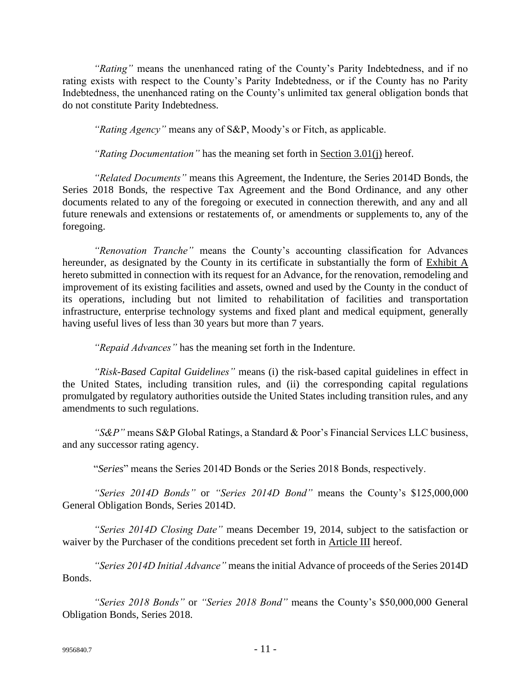*"Rating"* means the unenhanced rating of the County's Parity Indebtedness, and if no rating exists with respect to the County's Parity Indebtedness, or if the County has no Parity Indebtedness, the unenhanced rating on the County's unlimited tax general obligation bonds that do not constitute Parity Indebtedness.

*"Rating Agency"* means any of S&P, Moody's or Fitch, as applicable.

*"Rating Documentation"* has the meaning set forth in Section 3.01(j) hereof.

*"Related Documents"* means this Agreement, the Indenture, the Series 2014D Bonds, the Series 2018 Bonds, the respective Tax Agreement and the Bond Ordinance, and any other documents related to any of the foregoing or executed in connection therewith, and any and all future renewals and extensions or restatements of, or amendments or supplements to, any of the foregoing.

*"Renovation Tranche"* means the County's accounting classification for Advances hereunder, as designated by the County in its certificate in substantially the form of Exhibit A hereto submitted in connection with its request for an Advance, for the renovation, remodeling and improvement of its existing facilities and assets, owned and used by the County in the conduct of its operations, including but not limited to rehabilitation of facilities and transportation infrastructure, enterprise technology systems and fixed plant and medical equipment, generally having useful lives of less than 30 years but more than 7 years.

*"Repaid Advances"* has the meaning set forth in the Indenture.

*"Risk-Based Capital Guidelines"* means (i) the risk-based capital guidelines in effect in the United States, including transition rules, and (ii) the corresponding capital regulations promulgated by regulatory authorities outside the United States including transition rules, and any amendments to such regulations.

*"S&P"* means S&P Global Ratings, a Standard & Poor's Financial Services LLC business, and any successor rating agency.

"*Series*" means the Series 2014D Bonds or the Series 2018 Bonds, respectively.

*"Series 2014D Bonds"* or *"Series 2014D Bond"* means the County's \$125,000,000 General Obligation Bonds, Series 2014D.

*"Series 2014D Closing Date"* means December 19, 2014, subject to the satisfaction or waiver by the Purchaser of the conditions precedent set forth in Article III hereof.

*"Series 2014D Initial Advance"* means the initial Advance of proceeds of the Series 2014D Bonds.

*"Series 2018 Bonds"* or *"Series 2018 Bond"* means the County's \$50,000,000 General Obligation Bonds, Series 2018.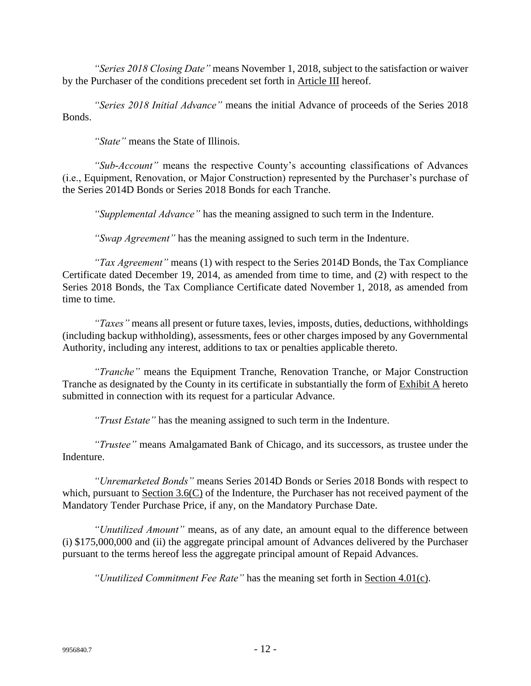*"Series 2018 Closing Date"* means November 1, 2018, subject to the satisfaction or waiver by the Purchaser of the conditions precedent set forth in Article III hereof.

*"Series 2018 Initial Advance"* means the initial Advance of proceeds of the Series 2018 Bonds.

*"State"* means the State of Illinois.

*"Sub-Account"* means the respective County's accounting classifications of Advances (i.e., Equipment, Renovation, or Major Construction) represented by the Purchaser's purchase of the Series 2014D Bonds or Series 2018 Bonds for each Tranche.

*"Supplemental Advance"* has the meaning assigned to such term in the Indenture.

*"Swap Agreement"* has the meaning assigned to such term in the Indenture.

*"Tax Agreement"* means (1) with respect to the Series 2014D Bonds, the Tax Compliance Certificate dated December 19, 2014, as amended from time to time, and (2) with respect to the Series 2018 Bonds, the Tax Compliance Certificate dated November 1, 2018, as amended from time to time.

*"Taxes"* means all present or future taxes, levies, imposts, duties, deductions, withholdings (including backup withholding), assessments, fees or other charges imposed by any Governmental Authority, including any interest, additions to tax or penalties applicable thereto.

*"Tranche"* means the Equipment Tranche, Renovation Tranche, or Major Construction Tranche as designated by the County in its certificate in substantially the form of Exhibit A hereto submitted in connection with its request for a particular Advance.

*"Trust Estate"* has the meaning assigned to such term in the Indenture.

*"Trustee"* means Amalgamated Bank of Chicago, and its successors, as trustee under the Indenture.

*"Unremarketed Bonds"* means Series 2014D Bonds or Series 2018 Bonds with respect to which, pursuant to Section 3.6(C) of the Indenture, the Purchaser has not received payment of the Mandatory Tender Purchase Price, if any, on the Mandatory Purchase Date.

*"Unutilized Amount"* means, as of any date, an amount equal to the difference between (i) \$175,000,000 and (ii) the aggregate principal amount of Advances delivered by the Purchaser pursuant to the terms hereof less the aggregate principal amount of Repaid Advances.

*"Unutilized Commitment Fee Rate"* has the meaning set forth in Section 4.01(c).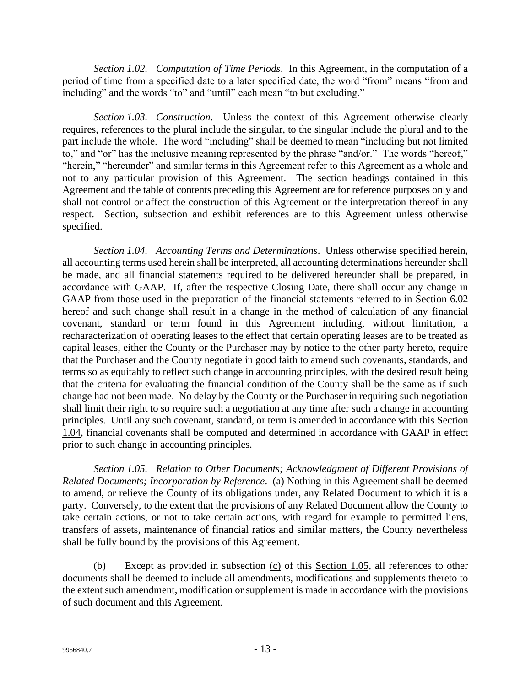*Section 1.02. Computation of Time Periods*. In this Agreement, in the computation of a period of time from a specified date to a later specified date, the word "from" means "from and including" and the words "to" and "until" each mean "to but excluding."

*Section 1.03. Construction*. Unless the context of this Agreement otherwise clearly requires, references to the plural include the singular, to the singular include the plural and to the part include the whole. The word "including" shall be deemed to mean "including but not limited to," and "or" has the inclusive meaning represented by the phrase "and/or." The words "hereof," "herein," "hereunder" and similar terms in this Agreement refer to this Agreement as a whole and not to any particular provision of this Agreement. The section headings contained in this Agreement and the table of contents preceding this Agreement are for reference purposes only and shall not control or affect the construction of this Agreement or the interpretation thereof in any respect. Section, subsection and exhibit references are to this Agreement unless otherwise specified.

*Section 1.04. Accounting Terms and Determinations*. Unless otherwise specified herein, all accounting terms used herein shall be interpreted, all accounting determinations hereunder shall be made, and all financial statements required to be delivered hereunder shall be prepared, in accordance with GAAP. If, after the respective Closing Date, there shall occur any change in GAAP from those used in the preparation of the financial statements referred to in Section 6.02 hereof and such change shall result in a change in the method of calculation of any financial covenant, standard or term found in this Agreement including, without limitation, a recharacterization of operating leases to the effect that certain operating leases are to be treated as capital leases, either the County or the Purchaser may by notice to the other party hereto, require that the Purchaser and the County negotiate in good faith to amend such covenants, standards, and terms so as equitably to reflect such change in accounting principles, with the desired result being that the criteria for evaluating the financial condition of the County shall be the same as if such change had not been made. No delay by the County or the Purchaser in requiring such negotiation shall limit their right to so require such a negotiation at any time after such a change in accounting principles. Until any such covenant, standard, or term is amended in accordance with this Section 1.04, financial covenants shall be computed and determined in accordance with GAAP in effect prior to such change in accounting principles.

*Section 1.05. Relation to Other Documents; Acknowledgment of Different Provisions of Related Documents; Incorporation by Reference*. (a) Nothing in this Agreement shall be deemed to amend, or relieve the County of its obligations under, any Related Document to which it is a party. Conversely, to the extent that the provisions of any Related Document allow the County to take certain actions, or not to take certain actions, with regard for example to permitted liens, transfers of assets, maintenance of financial ratios and similar matters, the County nevertheless shall be fully bound by the provisions of this Agreement.

(b) Except as provided in subsection  $(c)$  of this Section 1.05, all references to other documents shall be deemed to include all amendments, modifications and supplements thereto to the extent such amendment, modification or supplement is made in accordance with the provisions of such document and this Agreement.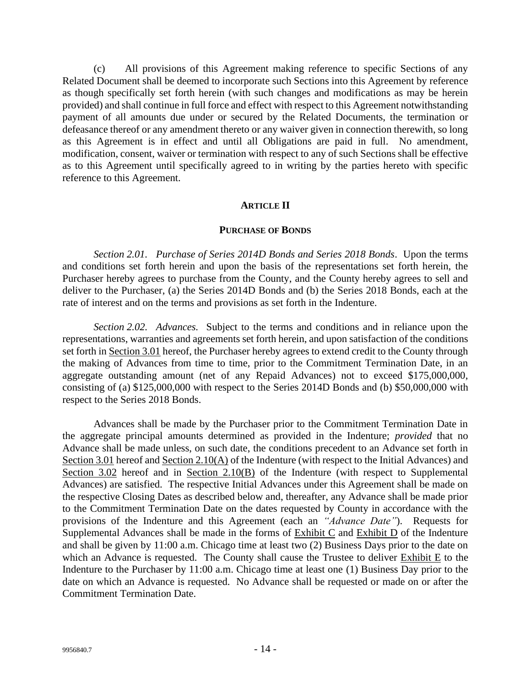(c) All provisions of this Agreement making reference to specific Sections of any Related Document shall be deemed to incorporate such Sections into this Agreement by reference as though specifically set forth herein (with such changes and modifications as may be herein provided) and shall continue in full force and effect with respect to this Agreement notwithstanding payment of all amounts due under or secured by the Related Documents, the termination or defeasance thereof or any amendment thereto or any waiver given in connection therewith, so long as this Agreement is in effect and until all Obligations are paid in full. No amendment, modification, consent, waiver or termination with respect to any of such Sections shall be effective as to this Agreement until specifically agreed to in writing by the parties hereto with specific reference to this Agreement.

#### **ARTICLE II**

#### **PURCHASE OF BONDS**

*Section 2.01. Purchase of Series 2014D Bonds and Series 2018 Bonds*. Upon the terms and conditions set forth herein and upon the basis of the representations set forth herein, the Purchaser hereby agrees to purchase from the County, and the County hereby agrees to sell and deliver to the Purchaser, (a) the Series 2014D Bonds and (b) the Series 2018 Bonds, each at the rate of interest and on the terms and provisions as set forth in the Indenture.

*Section 2.02. Advances.* Subject to the terms and conditions and in reliance upon the representations, warranties and agreements set forth herein, and upon satisfaction of the conditions set forth in Section 3.01 hereof, the Purchaser hereby agrees to extend credit to the County through the making of Advances from time to time, prior to the Commitment Termination Date, in an aggregate outstanding amount (net of any Repaid Advances) not to exceed \$175,000,000, consisting of (a) \$125,000,000 with respect to the Series 2014D Bonds and (b) \$50,000,000 with respect to the Series 2018 Bonds.

Advances shall be made by the Purchaser prior to the Commitment Termination Date in the aggregate principal amounts determined as provided in the Indenture; *provided* that no Advance shall be made unless, on such date, the conditions precedent to an Advance set forth in Section 3.01 hereof and Section 2.10(A) of the Indenture (with respect to the Initial Advances) and Section 3.02 hereof and in Section 2.10(B) of the Indenture (with respect to Supplemental Advances) are satisfied. The respective Initial Advances under this Agreement shall be made on the respective Closing Dates as described below and, thereafter, any Advance shall be made prior to the Commitment Termination Date on the dates requested by County in accordance with the provisions of the Indenture and this Agreement (each an *"Advance Date"*). Requests for Supplemental Advances shall be made in the forms of Exhibit C and Exhibit D of the Indenture and shall be given by 11:00 a.m. Chicago time at least two (2) Business Days prior to the date on which an Advance is requested. The County shall cause the Trustee to deliver Exhibit E to the Indenture to the Purchaser by 11:00 a.m. Chicago time at least one (1) Business Day prior to the date on which an Advance is requested. No Advance shall be requested or made on or after the Commitment Termination Date.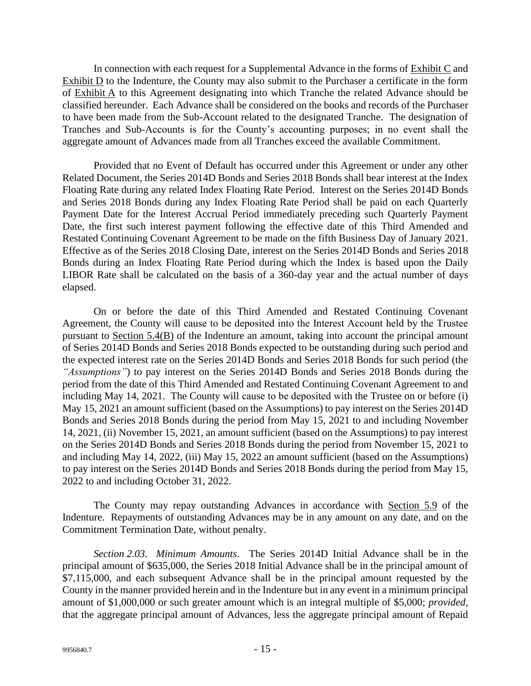In connection with each request for a Supplemental Advance in the forms of  $\overline{\text{Exhibit C}}$  and Exhibit  $D$  to the Indenture, the County may also submit to the Purchaser a certificate in the form of Exhibit A to this Agreement designating into which Tranche the related Advance should be classified hereunder. Each Advance shall be considered on the books and records of the Purchaser to have been made from the Sub-Account related to the designated Tranche. The designation of Tranches and Sub-Accounts is for the County's accounting purposes; in no event shall the aggregate amount of Advances made from all Tranches exceed the available Commitment.

Provided that no Event of Default has occurred under this Agreement or under any other Related Document, the Series 2014D Bonds and Series 2018 Bonds shall bear interest at the Index Floating Rate during any related Index Floating Rate Period. Interest on the Series 2014D Bonds and Series 2018 Bonds during any Index Floating Rate Period shall be paid on each Quarterly Payment Date for the Interest Accrual Period immediately preceding such Quarterly Payment Date, the first such interest payment following the effective date of this Third Amended and Restated Continuing Covenant Agreement to be made on the fifth Business Day of January 2021. Effective as of the Series 2018 Closing Date, interest on the Series 2014D Bonds and Series 2018 Bonds during an Index Floating Rate Period during which the Index is based upon the Daily LIBOR Rate shall be calculated on the basis of a 360-day year and the actual number of days elapsed.

On or before the date of this Third Amended and Restated Continuing Covenant Agreement, the County will cause to be deposited into the Interest Account held by the Trustee pursuant to Section 5.4(B) of the Indenture an amount, taking into account the principal amount of Series 2014D Bonds and Series 2018 Bonds expected to be outstanding during such period and the expected interest rate on the Series 2014D Bonds and Series 2018 Bonds for such period (the *"Assumptions"*) to pay interest on the Series 2014D Bonds and Series 2018 Bonds during the period from the date of this Third Amended and Restated Continuing Covenant Agreement to and including May 14, 2021. The County will cause to be deposited with the Trustee on or before (i) May 15, 2021 an amount sufficient (based on the Assumptions) to pay interest on the Series 2014D Bonds and Series 2018 Bonds during the period from May 15, 2021 to and including November 14, 2021, (ii) November 15, 2021, an amount sufficient (based on the Assumptions) to pay interest on the Series 2014D Bonds and Series 2018 Bonds during the period from November 15, 2021 to and including May 14, 2022, (iii) May 15, 2022 an amount sufficient (based on the Assumptions) to pay interest on the Series 2014D Bonds and Series 2018 Bonds during the period from May 15, 2022 to and including October 31, 2022.

The County may repay outstanding Advances in accordance with Section 5.9 of the Indenture. Repayments of outstanding Advances may be in any amount on any date, and on the Commitment Termination Date, without penalty.

*Section 2.03. Minimum Amounts*. The Series 2014D Initial Advance shall be in the principal amount of \$635,000, the Series 2018 Initial Advance shall be in the principal amount of \$7,115,000, and each subsequent Advance shall be in the principal amount requested by the County in the manner provided herein and in the Indenture but in any event in a minimum principal amount of \$1,000,000 or such greater amount which is an integral multiple of \$5,000; *provided,*  that the aggregate principal amount of Advances, less the aggregate principal amount of Repaid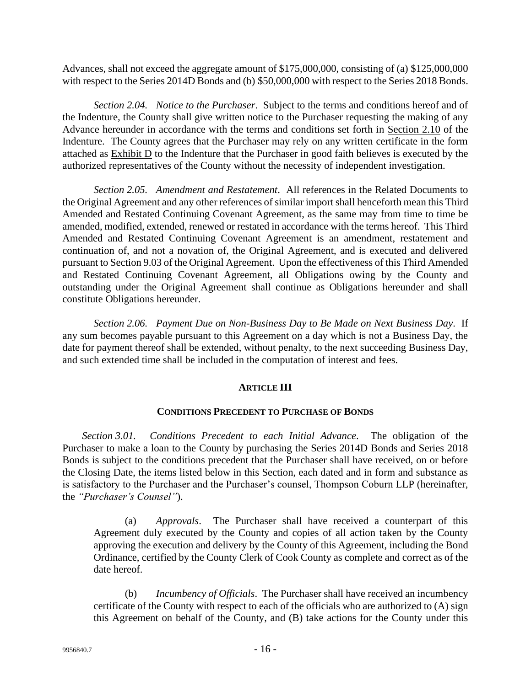Advances, shall not exceed the aggregate amount of \$175,000,000, consisting of (a) \$125,000,000 with respect to the Series 2014D Bonds and (b) \$50,000,000 with respect to the Series 2018 Bonds.

*Section 2.04. Notice to the Purchaser*. Subject to the terms and conditions hereof and of the Indenture, the County shall give written notice to the Purchaser requesting the making of any Advance hereunder in accordance with the terms and conditions set forth in Section 2.10 of the Indenture. The County agrees that the Purchaser may rely on any written certificate in the form attached as Exhibit D to the Indenture that the Purchaser in good faith believes is executed by the authorized representatives of the County without the necessity of independent investigation.

*Section 2.05. Amendment and Restatement*. All references in the Related Documents to the Original Agreement and any other references of similar import shall henceforth mean this Third Amended and Restated Continuing Covenant Agreement, as the same may from time to time be amended, modified, extended, renewed or restated in accordance with the terms hereof. This Third Amended and Restated Continuing Covenant Agreement is an amendment, restatement and continuation of, and not a novation of, the Original Agreement, and is executed and delivered pursuant to Section 9.03 of the Original Agreement. Upon the effectiveness of this Third Amended and Restated Continuing Covenant Agreement, all Obligations owing by the County and outstanding under the Original Agreement shall continue as Obligations hereunder and shall constitute Obligations hereunder.

*Section 2.06. Payment Due on Non-Business Day to Be Made on Next Business Day*. If any sum becomes payable pursuant to this Agreement on a day which is not a Business Day, the date for payment thereof shall be extended, without penalty, to the next succeeding Business Day, and such extended time shall be included in the computation of interest and fees.

### **ARTICLE III**

### **CONDITIONS PRECEDENT TO PURCHASE OF BONDS**

*Section 3.01. Conditions Precedent to each Initial Advance*. The obligation of the Purchaser to make a loan to the County by purchasing the Series 2014D Bonds and Series 2018 Bonds is subject to the conditions precedent that the Purchaser shall have received, on or before the Closing Date, the items listed below in this Section, each dated and in form and substance as is satisfactory to the Purchaser and the Purchaser's counsel, Thompson Coburn LLP (hereinafter, the *"Purchaser's Counsel"*).

(a) *Approvals*. The Purchaser shall have received a counterpart of this Agreement duly executed by the County and copies of all action taken by the County approving the execution and delivery by the County of this Agreement, including the Bond Ordinance, certified by the County Clerk of Cook County as complete and correct as of the date hereof.

(b) *Incumbency of Officials*. The Purchaser shall have received an incumbency certificate of the County with respect to each of the officials who are authorized to (A) sign this Agreement on behalf of the County, and (B) take actions for the County under this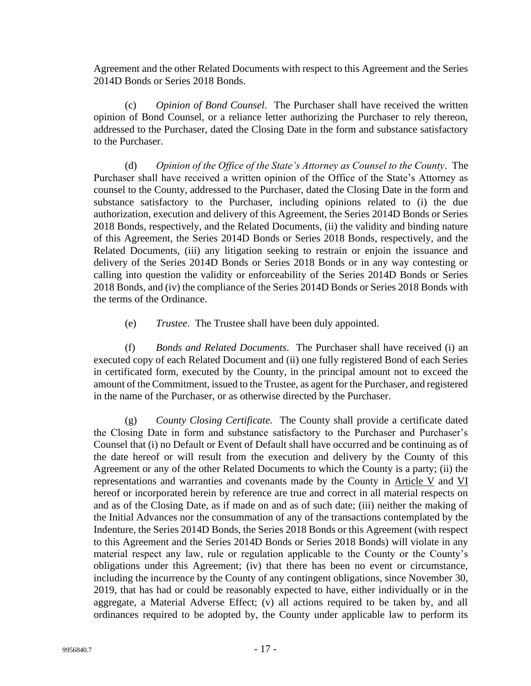Agreement and the other Related Documents with respect to this Agreement and the Series 2014D Bonds or Series 2018 Bonds.

(c) *Opinion of Bond Counsel*. The Purchaser shall have received the written opinion of Bond Counsel, or a reliance letter authorizing the Purchaser to rely thereon, addressed to the Purchaser, dated the Closing Date in the form and substance satisfactory to the Purchaser.

(d) *Opinion of the Office of the State's Attorney as Counsel to the County*. The Purchaser shall have received a written opinion of the Office of the State's Attorney as counsel to the County, addressed to the Purchaser, dated the Closing Date in the form and substance satisfactory to the Purchaser, including opinions related to (i) the due authorization, execution and delivery of this Agreement, the Series 2014D Bonds or Series 2018 Bonds, respectively, and the Related Documents, (ii) the validity and binding nature of this Agreement, the Series 2014D Bonds or Series 2018 Bonds, respectively, and the Related Documents, (iii) any litigation seeking to restrain or enjoin the issuance and delivery of the Series 2014D Bonds or Series 2018 Bonds or in any way contesting or calling into question the validity or enforceability of the Series 2014D Bonds or Series 2018 Bonds, and (iv) the compliance of the Series 2014D Bonds or Series 2018 Bonds with the terms of the Ordinance.

(e) *Trustee*. The Trustee shall have been duly appointed.

(f) *Bonds and Related Documents*. The Purchaser shall have received (i) an executed copy of each Related Document and (ii) one fully registered Bond of each Series in certificated form, executed by the County, in the principal amount not to exceed the amount of the Commitment, issued to the Trustee, as agent for the Purchaser, and registered in the name of the Purchaser, or as otherwise directed by the Purchaser.

(g) *County Closing Certificate.* The County shall provide a certificate dated the Closing Date in form and substance satisfactory to the Purchaser and Purchaser's Counsel that (i) no Default or Event of Default shall have occurred and be continuing as of the date hereof or will result from the execution and delivery by the County of this Agreement or any of the other Related Documents to which the County is a party; (ii) the representations and warranties and covenants made by the County in Article V and VI hereof or incorporated herein by reference are true and correct in all material respects on and as of the Closing Date, as if made on and as of such date; (iii) neither the making of the Initial Advances nor the consummation of any of the transactions contemplated by the Indenture, the Series 2014D Bonds, the Series 2018 Bonds or this Agreement (with respect to this Agreement and the Series 2014D Bonds or Series 2018 Bonds) will violate in any material respect any law, rule or regulation applicable to the County or the County's obligations under this Agreement; (iv) that there has been no event or circumstance, including the incurrence by the County of any contingent obligations, since November 30, 2019, that has had or could be reasonably expected to have, either individually or in the aggregate, a Material Adverse Effect; (v) all actions required to be taken by, and all ordinances required to be adopted by, the County under applicable law to perform its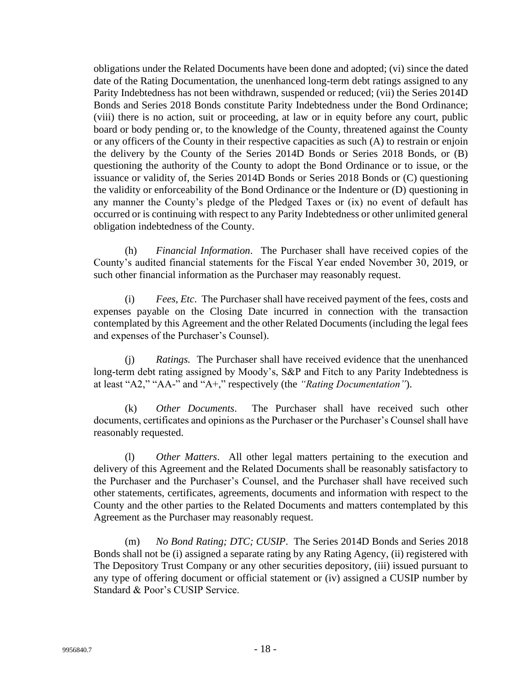obligations under the Related Documents have been done and adopted; (vi) since the dated date of the Rating Documentation, the unenhanced long-term debt ratings assigned to any Parity Indebtedness has not been withdrawn, suspended or reduced; (vii) the Series 2014D Bonds and Series 2018 Bonds constitute Parity Indebtedness under the Bond Ordinance; (viii) there is no action, suit or proceeding, at law or in equity before any court, public board or body pending or, to the knowledge of the County, threatened against the County or any officers of the County in their respective capacities as such (A) to restrain or enjoin the delivery by the County of the Series 2014D Bonds or Series 2018 Bonds, or (B) questioning the authority of the County to adopt the Bond Ordinance or to issue, or the issuance or validity of, the Series 2014D Bonds or Series 2018 Bonds or (C) questioning the validity or enforceability of the Bond Ordinance or the Indenture or (D) questioning in any manner the County's pledge of the Pledged Taxes or (ix) no event of default has occurred or is continuing with respect to any Parity Indebtedness or other unlimited general obligation indebtedness of the County.

(h) *Financial Information*. The Purchaser shall have received copies of the County's audited financial statements for the Fiscal Year ended November 30, 2019, or such other financial information as the Purchaser may reasonably request.

(i) *Fees, Etc*. The Purchaser shall have received payment of the fees, costs and expenses payable on the Closing Date incurred in connection with the transaction contemplated by this Agreement and the other Related Documents (including the legal fees and expenses of the Purchaser's Counsel).

(j) *Ratings.* The Purchaser shall have received evidence that the unenhanced long-term debt rating assigned by Moody's, S&P and Fitch to any Parity Indebtedness is at least "A2," "AA-" and "A+," respectively (the *"Rating Documentation"*).

(k) *Other Documents*. The Purchaser shall have received such other documents, certificates and opinions as the Purchaser or the Purchaser's Counsel shall have reasonably requested.

(l) *Other Matters*. All other legal matters pertaining to the execution and delivery of this Agreement and the Related Documents shall be reasonably satisfactory to the Purchaser and the Purchaser's Counsel, and the Purchaser shall have received such other statements, certificates, agreements, documents and information with respect to the County and the other parties to the Related Documents and matters contemplated by this Agreement as the Purchaser may reasonably request.

(m) *No Bond Rating; DTC; CUSIP*. The Series 2014D Bonds and Series 2018 Bonds shall not be (i) assigned a separate rating by any Rating Agency, (ii) registered with The Depository Trust Company or any other securities depository, (iii) issued pursuant to any type of offering document or official statement or (iv) assigned a CUSIP number by Standard & Poor's CUSIP Service.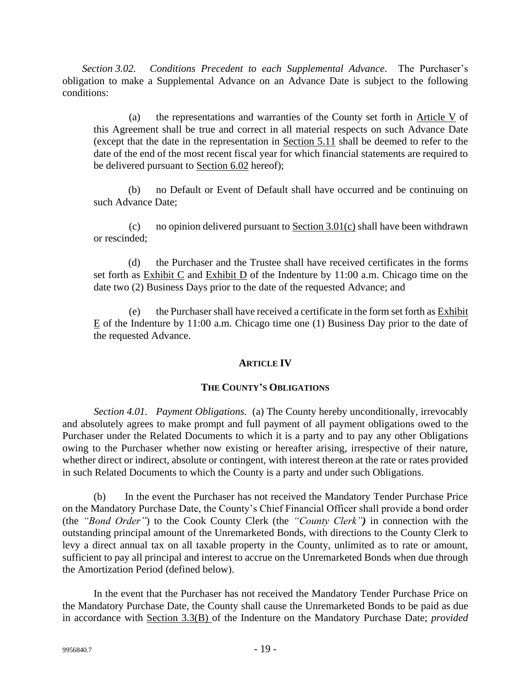*Section 3.02. Conditions Precedent to each Supplemental Advance*. The Purchaser's obligation to make a Supplemental Advance on an Advance Date is subject to the following conditions:

(a) the representations and warranties of the County set forth in Article V of this Agreement shall be true and correct in all material respects on such Advance Date (except that the date in the representation in Section 5.11 shall be deemed to refer to the date of the end of the most recent fiscal year for which financial statements are required to be delivered pursuant to Section 6.02 hereof);

(b) no Default or Event of Default shall have occurred and be continuing on such Advance Date;

(c) no opinion delivered pursuant to  $Section 3.01(c)$  shall have been withdrawn or rescinded;

(d) the Purchaser and the Trustee shall have received certificates in the forms set forth as Exhibit C and Exhibit D of the Indenture by 11:00 a.m. Chicago time on the date two (2) Business Days prior to the date of the requested Advance; and

(e) the Purchaser shall have received a certificate in the form set forth as Exhibit E of the Indenture by 11:00 a.m. Chicago time one (1) Business Day prior to the date of the requested Advance.

### **ARTICLE IV**

### **THE COUNTY'S OBLIGATIONS**

*Section 4.01. Payment Obligations.* (a) The County hereby unconditionally, irrevocably and absolutely agrees to make prompt and full payment of all payment obligations owed to the Purchaser under the Related Documents to which it is a party and to pay any other Obligations owing to the Purchaser whether now existing or hereafter arising, irrespective of their nature, whether direct or indirect, absolute or contingent, with interest thereon at the rate or rates provided in such Related Documents to which the County is a party and under such Obligations.

(b) In the event the Purchaser has not received the Mandatory Tender Purchase Price on the Mandatory Purchase Date, the County's Chief Financial Officer shall provide a bond order (the *"Bond Order"*) to the Cook County Clerk (the *"County Clerk")* in connection with the outstanding principal amount of the Unremarketed Bonds, with directions to the County Clerk to levy a direct annual tax on all taxable property in the County, unlimited as to rate or amount, sufficient to pay all principal and interest to accrue on the Unremarketed Bonds when due through the Amortization Period (defined below).

In the event that the Purchaser has not received the Mandatory Tender Purchase Price on the Mandatory Purchase Date, the County shall cause the Unremarketed Bonds to be paid as due in accordance with Section 3.3(B) of the Indenture on the Mandatory Purchase Date; *provided*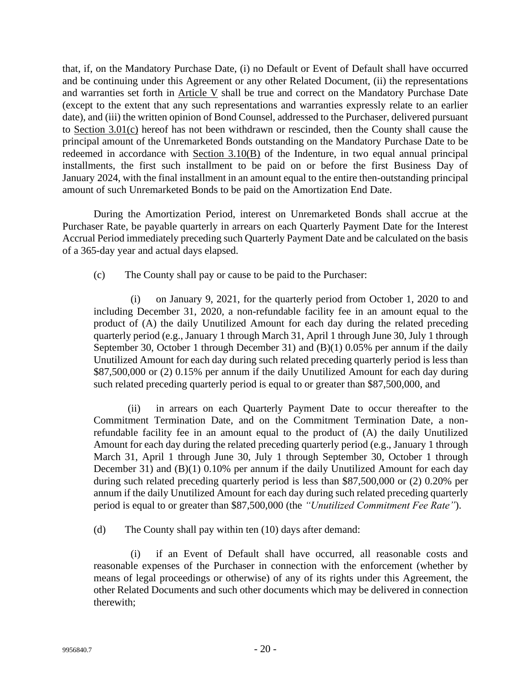that, if, on the Mandatory Purchase Date, (i) no Default or Event of Default shall have occurred and be continuing under this Agreement or any other Related Document, (ii) the representations and warranties set forth in Article V shall be true and correct on the Mandatory Purchase Date (except to the extent that any such representations and warranties expressly relate to an earlier date), and (iii) the written opinion of Bond Counsel, addressed to the Purchaser, delivered pursuant to Section 3.01(c) hereof has not been withdrawn or rescinded, then the County shall cause the principal amount of the Unremarketed Bonds outstanding on the Mandatory Purchase Date to be redeemed in accordance with Section 3.10(B) of the Indenture, in two equal annual principal installments, the first such installment to be paid on or before the first Business Day of January 2024, with the final installment in an amount equal to the entire then-outstanding principal amount of such Unremarketed Bonds to be paid on the Amortization End Date.

During the Amortization Period, interest on Unremarketed Bonds shall accrue at the Purchaser Rate, be payable quarterly in arrears on each Quarterly Payment Date for the Interest Accrual Period immediately preceding such Quarterly Payment Date and be calculated on the basis of a 365-day year and actual days elapsed.

(c) The County shall pay or cause to be paid to the Purchaser:

(i) on January 9, 2021, for the quarterly period from October 1, 2020 to and including December 31, 2020, a non-refundable facility fee in an amount equal to the product of (A) the daily Unutilized Amount for each day during the related preceding quarterly period (e.g., January 1 through March 31, April 1 through June 30, July 1 through September 30, October 1 through December 31) and (B)(1) 0.05% per annum if the daily Unutilized Amount for each day during such related preceding quarterly period is less than \$87,500,000 or (2) 0.15% per annum if the daily Unutilized Amount for each day during such related preceding quarterly period is equal to or greater than \$87,500,000, and

(ii) in arrears on each Quarterly Payment Date to occur thereafter to the Commitment Termination Date, and on the Commitment Termination Date, a nonrefundable facility fee in an amount equal to the product of (A) the daily Unutilized Amount for each day during the related preceding quarterly period (e.g., January 1 through March 31, April 1 through June 30, July 1 through September 30, October 1 through December 31) and (B)(1) 0.10% per annum if the daily Unutilized Amount for each day during such related preceding quarterly period is less than \$87,500,000 or (2) 0.20% per annum if the daily Unutilized Amount for each day during such related preceding quarterly period is equal to or greater than \$87,500,000 (the *"Unutilized Commitment Fee Rate"*).

(d) The County shall pay within ten (10) days after demand:

(i) if an Event of Default shall have occurred, all reasonable costs and reasonable expenses of the Purchaser in connection with the enforcement (whether by means of legal proceedings or otherwise) of any of its rights under this Agreement, the other Related Documents and such other documents which may be delivered in connection therewith;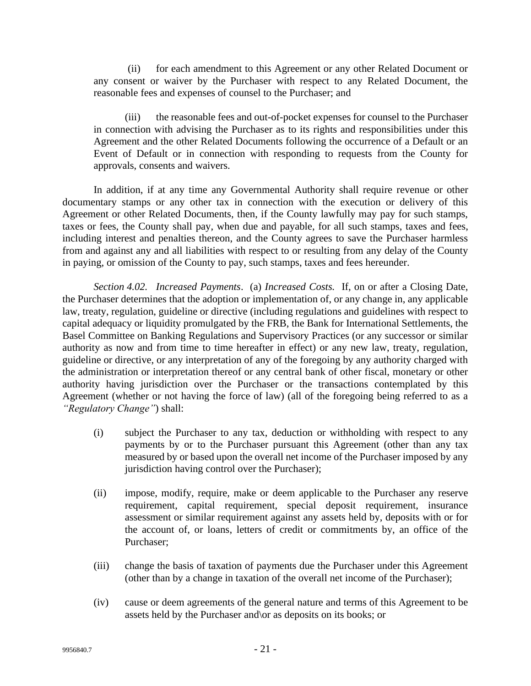(ii) for each amendment to this Agreement or any other Related Document or any consent or waiver by the Purchaser with respect to any Related Document, the reasonable fees and expenses of counsel to the Purchaser; and

(iii) the reasonable fees and out-of-pocket expenses for counsel to the Purchaser in connection with advising the Purchaser as to its rights and responsibilities under this Agreement and the other Related Documents following the occurrence of a Default or an Event of Default or in connection with responding to requests from the County for approvals, consents and waivers.

In addition, if at any time any Governmental Authority shall require revenue or other documentary stamps or any other tax in connection with the execution or delivery of this Agreement or other Related Documents, then, if the County lawfully may pay for such stamps, taxes or fees, the County shall pay, when due and payable, for all such stamps, taxes and fees, including interest and penalties thereon, and the County agrees to save the Purchaser harmless from and against any and all liabilities with respect to or resulting from any delay of the County in paying, or omission of the County to pay, such stamps, taxes and fees hereunder.

*Section 4.02. Increased Payments*. (a) *Increased Costs.* If, on or after a Closing Date, the Purchaser determines that the adoption or implementation of, or any change in, any applicable law, treaty, regulation, guideline or directive (including regulations and guidelines with respect to capital adequacy or liquidity promulgated by the FRB, the Bank for International Settlements, the Basel Committee on Banking Regulations and Supervisory Practices (or any successor or similar authority as now and from time to time hereafter in effect) or any new law, treaty, regulation, guideline or directive, or any interpretation of any of the foregoing by any authority charged with the administration or interpretation thereof or any central bank of other fiscal, monetary or other authority having jurisdiction over the Purchaser or the transactions contemplated by this Agreement (whether or not having the force of law) (all of the foregoing being referred to as a *"Regulatory Change"*) shall:

- (i) subject the Purchaser to any tax, deduction or withholding with respect to any payments by or to the Purchaser pursuant this Agreement (other than any tax measured by or based upon the overall net income of the Purchaser imposed by any jurisdiction having control over the Purchaser);
- (ii) impose, modify, require, make or deem applicable to the Purchaser any reserve requirement, capital requirement, special deposit requirement, insurance assessment or similar requirement against any assets held by, deposits with or for the account of, or loans, letters of credit or commitments by, an office of the Purchaser;
- (iii) change the basis of taxation of payments due the Purchaser under this Agreement (other than by a change in taxation of the overall net income of the Purchaser);
- (iv) cause or deem agreements of the general nature and terms of this Agreement to be assets held by the Purchaser and\or as deposits on its books; or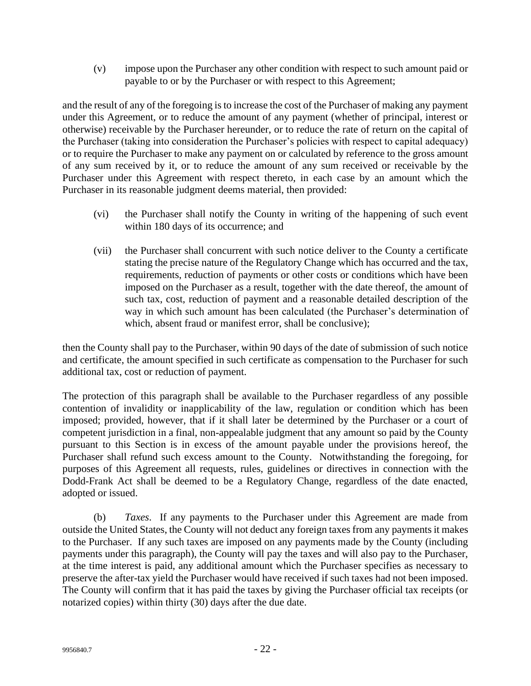(v) impose upon the Purchaser any other condition with respect to such amount paid or payable to or by the Purchaser or with respect to this Agreement;

and the result of any of the foregoing is to increase the cost of the Purchaser of making any payment under this Agreement, or to reduce the amount of any payment (whether of principal, interest or otherwise) receivable by the Purchaser hereunder, or to reduce the rate of return on the capital of the Purchaser (taking into consideration the Purchaser's policies with respect to capital adequacy) or to require the Purchaser to make any payment on or calculated by reference to the gross amount of any sum received by it, or to reduce the amount of any sum received or receivable by the Purchaser under this Agreement with respect thereto, in each case by an amount which the Purchaser in its reasonable judgment deems material, then provided:

- (vi) the Purchaser shall notify the County in writing of the happening of such event within 180 days of its occurrence; and
- (vii) the Purchaser shall concurrent with such notice deliver to the County a certificate stating the precise nature of the Regulatory Change which has occurred and the tax, requirements, reduction of payments or other costs or conditions which have been imposed on the Purchaser as a result, together with the date thereof, the amount of such tax, cost, reduction of payment and a reasonable detailed description of the way in which such amount has been calculated (the Purchaser's determination of which, absent fraud or manifest error, shall be conclusive);

then the County shall pay to the Purchaser, within 90 days of the date of submission of such notice and certificate, the amount specified in such certificate as compensation to the Purchaser for such additional tax, cost or reduction of payment.

The protection of this paragraph shall be available to the Purchaser regardless of any possible contention of invalidity or inapplicability of the law, regulation or condition which has been imposed; provided, however, that if it shall later be determined by the Purchaser or a court of competent jurisdiction in a final, non-appealable judgment that any amount so paid by the County pursuant to this Section is in excess of the amount payable under the provisions hereof, the Purchaser shall refund such excess amount to the County. Notwithstanding the foregoing, for purposes of this Agreement all requests, rules, guidelines or directives in connection with the Dodd-Frank Act shall be deemed to be a Regulatory Change, regardless of the date enacted, adopted or issued.

(b) *Taxes*. If any payments to the Purchaser under this Agreement are made from outside the United States, the County will not deduct any foreign taxes from any payments it makes to the Purchaser. If any such taxes are imposed on any payments made by the County (including payments under this paragraph), the County will pay the taxes and will also pay to the Purchaser, at the time interest is paid, any additional amount which the Purchaser specifies as necessary to preserve the after-tax yield the Purchaser would have received if such taxes had not been imposed. The County will confirm that it has paid the taxes by giving the Purchaser official tax receipts (or notarized copies) within thirty (30) days after the due date.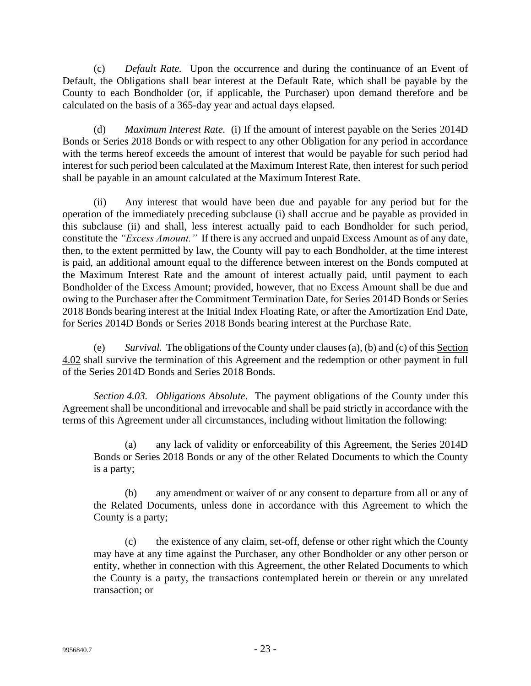(c) *Default Rate.* Upon the occurrence and during the continuance of an Event of Default, the Obligations shall bear interest at the Default Rate, which shall be payable by the County to each Bondholder (or, if applicable, the Purchaser) upon demand therefore and be calculated on the basis of a 365-day year and actual days elapsed.

(d) *Maximum Interest Rate.* (i) If the amount of interest payable on the Series 2014D Bonds or Series 2018 Bonds or with respect to any other Obligation for any period in accordance with the terms hereof exceeds the amount of interest that would be payable for such period had interest for such period been calculated at the Maximum Interest Rate, then interest for such period shall be payable in an amount calculated at the Maximum Interest Rate.

(ii) Any interest that would have been due and payable for any period but for the operation of the immediately preceding subclause (i) shall accrue and be payable as provided in this subclause (ii) and shall, less interest actually paid to each Bondholder for such period, constitute the *"Excess Amount."* If there is any accrued and unpaid Excess Amount as of any date, then, to the extent permitted by law, the County will pay to each Bondholder, at the time interest is paid, an additional amount equal to the difference between interest on the Bonds computed at the Maximum Interest Rate and the amount of interest actually paid, until payment to each Bondholder of the Excess Amount; provided, however, that no Excess Amount shall be due and owing to the Purchaser after the Commitment Termination Date, for Series 2014D Bonds or Series 2018 Bonds bearing interest at the Initial Index Floating Rate, or after the Amortization End Date, for Series 2014D Bonds or Series 2018 Bonds bearing interest at the Purchase Rate.

(e) *Survival.* The obligations of the County under clauses (a), (b) and (c) of this Section 4.02 shall survive the termination of this Agreement and the redemption or other payment in full of the Series 2014D Bonds and Series 2018 Bonds.

*Section 4.03. Obligations Absolute*. The payment obligations of the County under this Agreement shall be unconditional and irrevocable and shall be paid strictly in accordance with the terms of this Agreement under all circumstances, including without limitation the following:

(a) any lack of validity or enforceability of this Agreement, the Series 2014D Bonds or Series 2018 Bonds or any of the other Related Documents to which the County is a party;

(b) any amendment or waiver of or any consent to departure from all or any of the Related Documents, unless done in accordance with this Agreement to which the County is a party;

(c) the existence of any claim, set-off, defense or other right which the County may have at any time against the Purchaser, any other Bondholder or any other person or entity, whether in connection with this Agreement, the other Related Documents to which the County is a party, the transactions contemplated herein or therein or any unrelated transaction; or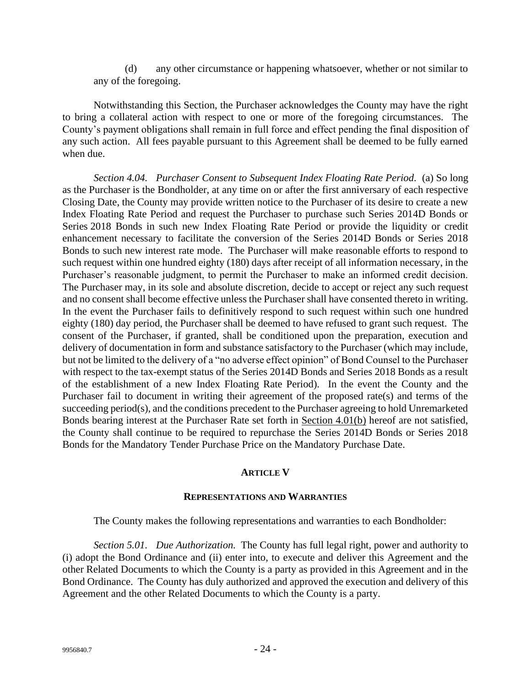(d) any other circumstance or happening whatsoever, whether or not similar to any of the foregoing.

Notwithstanding this Section, the Purchaser acknowledges the County may have the right to bring a collateral action with respect to one or more of the foregoing circumstances. The County's payment obligations shall remain in full force and effect pending the final disposition of any such action. All fees payable pursuant to this Agreement shall be deemed to be fully earned when due.

*Section 4.04. Purchaser Consent to Subsequent Index Floating Rate Period.* (a) So long as the Purchaser is the Bondholder, at any time on or after the first anniversary of each respective Closing Date, the County may provide written notice to the Purchaser of its desire to create a new Index Floating Rate Period and request the Purchaser to purchase such Series 2014D Bonds or Series 2018 Bonds in such new Index Floating Rate Period or provide the liquidity or credit enhancement necessary to facilitate the conversion of the Series 2014D Bonds or Series 2018 Bonds to such new interest rate mode. The Purchaser will make reasonable efforts to respond to such request within one hundred eighty (180) days after receipt of all information necessary, in the Purchaser's reasonable judgment, to permit the Purchaser to make an informed credit decision. The Purchaser may, in its sole and absolute discretion, decide to accept or reject any such request and no consent shall become effective unless the Purchaser shall have consented thereto in writing. In the event the Purchaser fails to definitively respond to such request within such one hundred eighty (180) day period, the Purchaser shall be deemed to have refused to grant such request. The consent of the Purchaser, if granted, shall be conditioned upon the preparation, execution and delivery of documentation in form and substance satisfactory to the Purchaser (which may include, but not be limited to the delivery of a "no adverse effect opinion" of Bond Counsel to the Purchaser with respect to the tax-exempt status of the Series 2014D Bonds and Series 2018 Bonds as a result of the establishment of a new Index Floating Rate Period). In the event the County and the Purchaser fail to document in writing their agreement of the proposed rate(s) and terms of the succeeding period(s), and the conditions precedent to the Purchaser agreeing to hold Unremarketed Bonds bearing interest at the Purchaser Rate set forth in Section 4.01(b) hereof are not satisfied, the County shall continue to be required to repurchase the Series 2014D Bonds or Series 2018 Bonds for the Mandatory Tender Purchase Price on the Mandatory Purchase Date.

### **ARTICLE V**

#### **REPRESENTATIONS AND WARRANTIES**

The County makes the following representations and warranties to each Bondholder:

*Section 5.01. Due Authorization.* The County has full legal right, power and authority to (i) adopt the Bond Ordinance and (ii) enter into, to execute and deliver this Agreement and the other Related Documents to which the County is a party as provided in this Agreement and in the Bond Ordinance. The County has duly authorized and approved the execution and delivery of this Agreement and the other Related Documents to which the County is a party.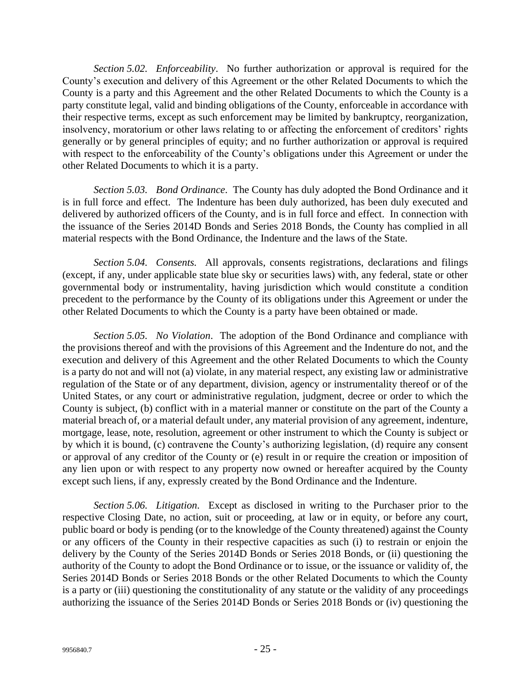*Section 5.02. Enforceability*. No further authorization or approval is required for the County's execution and delivery of this Agreement or the other Related Documents to which the County is a party and this Agreement and the other Related Documents to which the County is a party constitute legal, valid and binding obligations of the County, enforceable in accordance with their respective terms, except as such enforcement may be limited by bankruptcy, reorganization, insolvency, moratorium or other laws relating to or affecting the enforcement of creditors' rights generally or by general principles of equity; and no further authorization or approval is required with respect to the enforceability of the County's obligations under this Agreement or under the other Related Documents to which it is a party.

*Section 5.03. Bond Ordinance*. The County has duly adopted the Bond Ordinance and it is in full force and effect. The Indenture has been duly authorized, has been duly executed and delivered by authorized officers of the County, and is in full force and effect. In connection with the issuance of the Series 2014D Bonds and Series 2018 Bonds, the County has complied in all material respects with the Bond Ordinance, the Indenture and the laws of the State.

*Section 5.04. Consents.* All approvals, consents registrations, declarations and filings (except, if any, under applicable state blue sky or securities laws) with, any federal, state or other governmental body or instrumentality, having jurisdiction which would constitute a condition precedent to the performance by the County of its obligations under this Agreement or under the other Related Documents to which the County is a party have been obtained or made.

*Section 5.05. No Violation*. The adoption of the Bond Ordinance and compliance with the provisions thereof and with the provisions of this Agreement and the Indenture do not, and the execution and delivery of this Agreement and the other Related Documents to which the County is a party do not and will not (a) violate, in any material respect, any existing law or administrative regulation of the State or of any department, division, agency or instrumentality thereof or of the United States, or any court or administrative regulation, judgment, decree or order to which the County is subject, (b) conflict with in a material manner or constitute on the part of the County a material breach of, or a material default under, any material provision of any agreement, indenture, mortgage, lease, note, resolution, agreement or other instrument to which the County is subject or by which it is bound, (c) contravene the County's authorizing legislation, (d) require any consent or approval of any creditor of the County or (e) result in or require the creation or imposition of any lien upon or with respect to any property now owned or hereafter acquired by the County except such liens, if any, expressly created by the Bond Ordinance and the Indenture.

*Section 5.06. Litigation.* Except as disclosed in writing to the Purchaser prior to the respective Closing Date, no action, suit or proceeding, at law or in equity, or before any court, public board or body is pending (or to the knowledge of the County threatened) against the County or any officers of the County in their respective capacities as such (i) to restrain or enjoin the delivery by the County of the Series 2014D Bonds or Series 2018 Bonds, or (ii) questioning the authority of the County to adopt the Bond Ordinance or to issue, or the issuance or validity of, the Series 2014D Bonds or Series 2018 Bonds or the other Related Documents to which the County is a party or (iii) questioning the constitutionality of any statute or the validity of any proceedings authorizing the issuance of the Series 2014D Bonds or Series 2018 Bonds or (iv) questioning the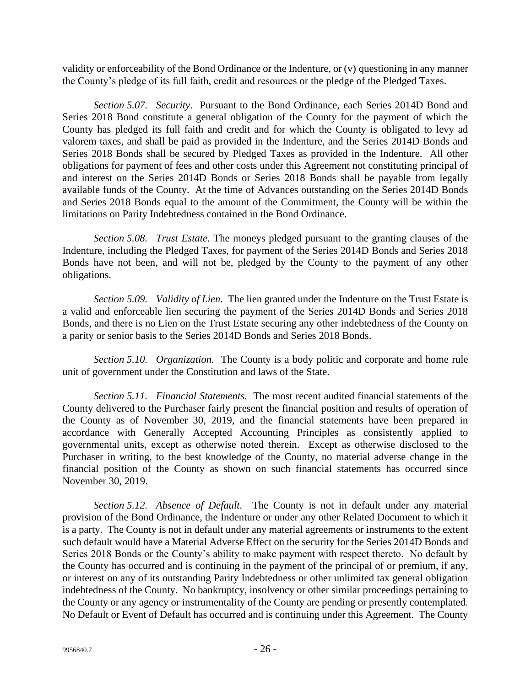validity or enforceability of the Bond Ordinance or the Indenture, or (v) questioning in any manner the County's pledge of its full faith, credit and resources or the pledge of the Pledged Taxes.

*Section 5.07. Security*. Pursuant to the Bond Ordinance, each Series 2014D Bond and Series 2018 Bond constitute a general obligation of the County for the payment of which the County has pledged its full faith and credit and for which the County is obligated to levy ad valorem taxes, and shall be paid as provided in the Indenture, and the Series 2014D Bonds and Series 2018 Bonds shall be secured by Pledged Taxes as provided in the Indenture. All other obligations for payment of fees and other costs under this Agreement not constituting principal of and interest on the Series 2014D Bonds or Series 2018 Bonds shall be payable from legally available funds of the County. At the time of Advances outstanding on the Series 2014D Bonds and Series 2018 Bonds equal to the amount of the Commitment, the County will be within the limitations on Parity Indebtedness contained in the Bond Ordinance.

*Section 5.08. Trust Estate.* The moneys pledged pursuant to the granting clauses of the Indenture, including the Pledged Taxes, for payment of the Series 2014D Bonds and Series 2018 Bonds have not been, and will not be, pledged by the County to the payment of any other obligations.

*Section 5.09. Validity of Lien.* The lien granted under the Indenture on the Trust Estate is a valid and enforceable lien securing the payment of the Series 2014D Bonds and Series 2018 Bonds, and there is no Lien on the Trust Estate securing any other indebtedness of the County on a parity or senior basis to the Series 2014D Bonds and Series 2018 Bonds.

*Section 5.10. Organization.* The County is a body politic and corporate and home rule unit of government under the Constitution and laws of the State.

*Section 5.11. Financial Statements.* The most recent audited financial statements of the County delivered to the Purchaser fairly present the financial position and results of operation of the County as of November 30, 2019, and the financial statements have been prepared in accordance with Generally Accepted Accounting Principles as consistently applied to governmental units, except as otherwise noted therein. Except as otherwise disclosed to the Purchaser in writing, to the best knowledge of the County, no material adverse change in the financial position of the County as shown on such financial statements has occurred since November 30, 2019.

*Section 5.12. Absence of Default.* The County is not in default under any material provision of the Bond Ordinance, the Indenture or under any other Related Document to which it is a party. The County is not in default under any material agreements or instruments to the extent such default would have a Material Adverse Effect on the security for the Series 2014D Bonds and Series 2018 Bonds or the County's ability to make payment with respect thereto. No default by the County has occurred and is continuing in the payment of the principal of or premium, if any, or interest on any of its outstanding Parity Indebtedness or other unlimited tax general obligation indebtedness of the County. No bankruptcy, insolvency or other similar proceedings pertaining to the County or any agency or instrumentality of the County are pending or presently contemplated. No Default or Event of Default has occurred and is continuing under this Agreement. The County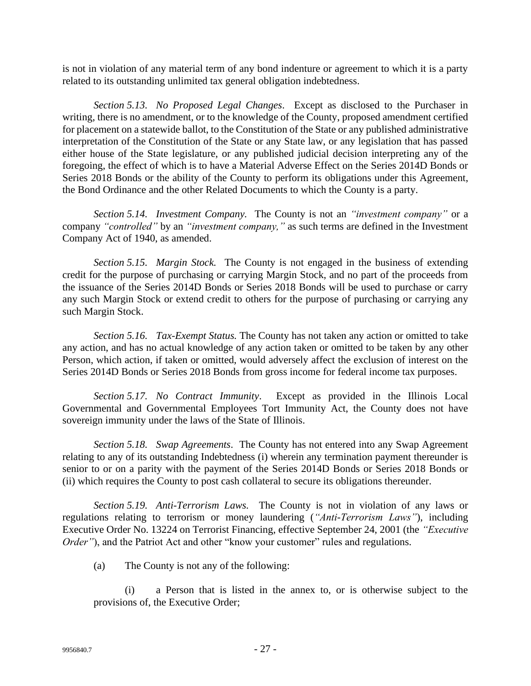is not in violation of any material term of any bond indenture or agreement to which it is a party related to its outstanding unlimited tax general obligation indebtedness.

*Section 5.13. No Proposed Legal Changes*. Except as disclosed to the Purchaser in writing, there is no amendment, or to the knowledge of the County, proposed amendment certified for placement on a statewide ballot, to the Constitution of the State or any published administrative interpretation of the Constitution of the State or any State law, or any legislation that has passed either house of the State legislature, or any published judicial decision interpreting any of the foregoing, the effect of which is to have a Material Adverse Effect on the Series 2014D Bonds or Series 2018 Bonds or the ability of the County to perform its obligations under this Agreement, the Bond Ordinance and the other Related Documents to which the County is a party.

*Section 5.14. Investment Company.* The County is not an *"investment company"* or a company *"controlled"* by an *"investment company,"* as such terms are defined in the Investment Company Act of 1940, as amended.

*Section 5.15. Margin Stock.* The County is not engaged in the business of extending credit for the purpose of purchasing or carrying Margin Stock, and no part of the proceeds from the issuance of the Series 2014D Bonds or Series 2018 Bonds will be used to purchase or carry any such Margin Stock or extend credit to others for the purpose of purchasing or carrying any such Margin Stock.

*Section 5.16. Tax-Exempt Status.* The County has not taken any action or omitted to take any action, and has no actual knowledge of any action taken or omitted to be taken by any other Person, which action, if taken or omitted, would adversely affect the exclusion of interest on the Series 2014D Bonds or Series 2018 Bonds from gross income for federal income tax purposes.

*Section 5.17. No Contract Immunity*. Except as provided in the Illinois Local Governmental and Governmental Employees Tort Immunity Act, the County does not have sovereign immunity under the laws of the State of Illinois.

*Section 5.18. Swap Agreements*. The County has not entered into any Swap Agreement relating to any of its outstanding Indebtedness (i) wherein any termination payment thereunder is senior to or on a parity with the payment of the Series 2014D Bonds or Series 2018 Bonds or (ii) which requires the County to post cash collateral to secure its obligations thereunder.

*Section 5.19. Anti-Terrorism Laws.* The County is not in violation of any laws or regulations relating to terrorism or money laundering (*"Anti-Terrorism Laws"*), including Executive Order No. 13224 on Terrorist Financing, effective September 24, 2001 (the *"Executive Order"*), and the Patriot Act and other "know your customer" rules and regulations.

(a) The County is not any of the following:

(i) a Person that is listed in the annex to, or is otherwise subject to the provisions of, the Executive Order;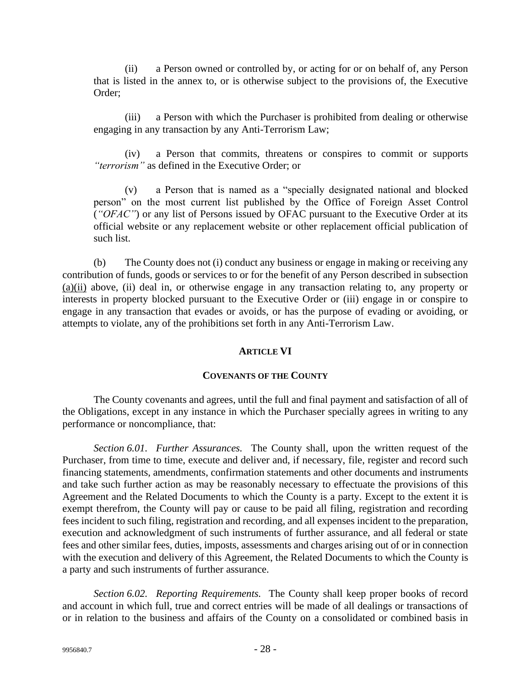(ii) a Person owned or controlled by, or acting for or on behalf of, any Person that is listed in the annex to, or is otherwise subject to the provisions of, the Executive Order;

(iii) a Person with which the Purchaser is prohibited from dealing or otherwise engaging in any transaction by any Anti-Terrorism Law;

(iv) a Person that commits, threatens or conspires to commit or supports *"terrorism"* as defined in the Executive Order; or

(v) a Person that is named as a "specially designated national and blocked person" on the most current list published by the Office of Foreign Asset Control (*"OFAC"*) or any list of Persons issued by OFAC pursuant to the Executive Order at its official website or any replacement website or other replacement official publication of such list.

(b) The County does not (i) conduct any business or engage in making or receiving any contribution of funds, goods or services to or for the benefit of any Person described in subsection (a)(ii) above, (ii) deal in, or otherwise engage in any transaction relating to, any property or interests in property blocked pursuant to the Executive Order or (iii) engage in or conspire to engage in any transaction that evades or avoids, or has the purpose of evading or avoiding, or attempts to violate, any of the prohibitions set forth in any Anti-Terrorism Law.

### **ARTICLE VI**

### **COVENANTS OF THE COUNTY**

The County covenants and agrees, until the full and final payment and satisfaction of all of the Obligations, except in any instance in which the Purchaser specially agrees in writing to any performance or noncompliance, that:

*Section 6.01. Further Assurances.* The County shall, upon the written request of the Purchaser, from time to time, execute and deliver and, if necessary, file, register and record such financing statements, amendments, confirmation statements and other documents and instruments and take such further action as may be reasonably necessary to effectuate the provisions of this Agreement and the Related Documents to which the County is a party. Except to the extent it is exempt therefrom, the County will pay or cause to be paid all filing, registration and recording fees incident to such filing, registration and recording, and all expenses incident to the preparation, execution and acknowledgment of such instruments of further assurance, and all federal or state fees and other similar fees, duties, imposts, assessments and charges arising out of or in connection with the execution and delivery of this Agreement, the Related Documents to which the County is a party and such instruments of further assurance.

*Section 6.02. Reporting Requirements.* The County shall keep proper books of record and account in which full, true and correct entries will be made of all dealings or transactions of or in relation to the business and affairs of the County on a consolidated or combined basis in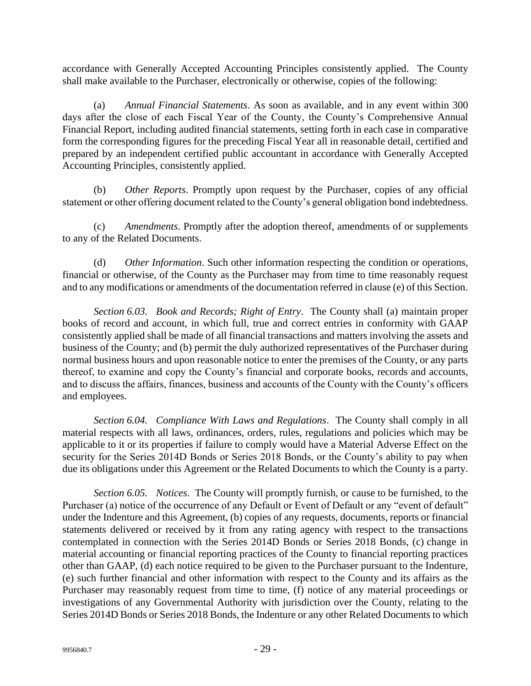accordance with Generally Accepted Accounting Principles consistently applied. The County shall make available to the Purchaser, electronically or otherwise, copies of the following:

(a) *Annual Financial Statements*. As soon as available, and in any event within 300 days after the close of each Fiscal Year of the County, the County's Comprehensive Annual Financial Report, including audited financial statements, setting forth in each case in comparative form the corresponding figures for the preceding Fiscal Year all in reasonable detail, certified and prepared by an independent certified public accountant in accordance with Generally Accepted Accounting Principles, consistently applied.

(b) *Other Reports*. Promptly upon request by the Purchaser, copies of any official statement or other offering document related to the County's general obligation bond indebtedness.

(c) *Amendments*. Promptly after the adoption thereof, amendments of or supplements to any of the Related Documents.

(d) *Other Information*. Such other information respecting the condition or operations, financial or otherwise, of the County as the Purchaser may from time to time reasonably request and to any modifications or amendments of the documentation referred in clause (e) of this Section.

*Section 6.03. Book and Records; Right of Entry*. The County shall (a) maintain proper books of record and account, in which full, true and correct entries in conformity with GAAP consistently applied shall be made of all financial transactions and matters involving the assets and business of the County; and (b) permit the duly authorized representatives of the Purchaser during normal business hours and upon reasonable notice to enter the premises of the County, or any parts thereof, to examine and copy the County's financial and corporate books, records and accounts, and to discuss the affairs, finances, business and accounts of the County with the County's officers and employees.

*Section 6.04. Compliance With Laws and Regulations*. The County shall comply in all material respects with all laws, ordinances, orders, rules, regulations and policies which may be applicable to it or its properties if failure to comply would have a Material Adverse Effect on the security for the Series 2014D Bonds or Series 2018 Bonds, or the County's ability to pay when due its obligations under this Agreement or the Related Documents to which the County is a party.

*Section 6.05. Notices*. The County will promptly furnish, or cause to be furnished, to the Purchaser (a) notice of the occurrence of any Default or Event of Default or any "event of default" under the Indenture and this Agreement, (b) copies of any requests, documents, reports or financial statements delivered or received by it from any rating agency with respect to the transactions contemplated in connection with the Series 2014D Bonds or Series 2018 Bonds, (c) change in material accounting or financial reporting practices of the County to financial reporting practices other than GAAP, (d) each notice required to be given to the Purchaser pursuant to the Indenture, (e) such further financial and other information with respect to the County and its affairs as the Purchaser may reasonably request from time to time, (f) notice of any material proceedings or investigations of any Governmental Authority with jurisdiction over the County, relating to the Series 2014D Bonds or Series 2018 Bonds, the Indenture or any other Related Documents to which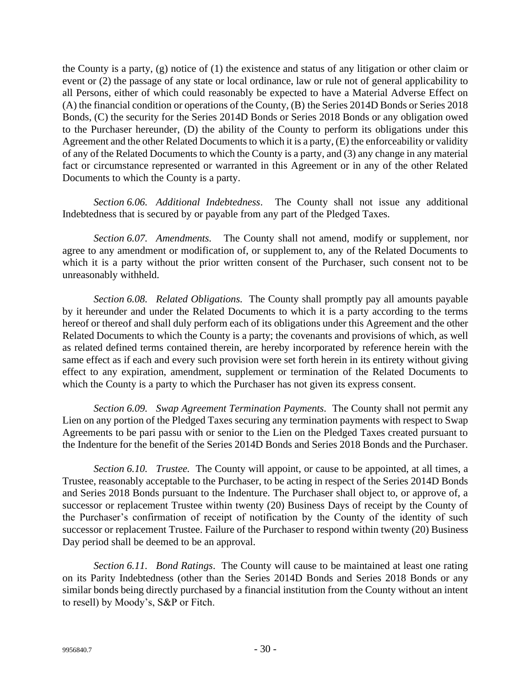the County is a party, (g) notice of (1) the existence and status of any litigation or other claim or event or (2) the passage of any state or local ordinance, law or rule not of general applicability to all Persons, either of which could reasonably be expected to have a Material Adverse Effect on (A) the financial condition or operations of the County, (B) the Series 2014D Bonds or Series 2018 Bonds, (C) the security for the Series 2014D Bonds or Series 2018 Bonds or any obligation owed to the Purchaser hereunder, (D) the ability of the County to perform its obligations under this Agreement and the other Related Documents to which it is a party, (E) the enforceability or validity of any of the Related Documents to which the County is a party, and (3) any change in any material fact or circumstance represented or warranted in this Agreement or in any of the other Related Documents to which the County is a party.

*Section 6.06. Additional Indebtedness*. The County shall not issue any additional Indebtedness that is secured by or payable from any part of the Pledged Taxes.

*Section 6.07. Amendments.* The County shall not amend, modify or supplement, nor agree to any amendment or modification of, or supplement to, any of the Related Documents to which it is a party without the prior written consent of the Purchaser, such consent not to be unreasonably withheld.

*Section 6.08. Related Obligations.* The County shall promptly pay all amounts payable by it hereunder and under the Related Documents to which it is a party according to the terms hereof or thereof and shall duly perform each of its obligations under this Agreement and the other Related Documents to which the County is a party; the covenants and provisions of which, as well as related defined terms contained therein, are hereby incorporated by reference herein with the same effect as if each and every such provision were set forth herein in its entirety without giving effect to any expiration, amendment, supplement or termination of the Related Documents to which the County is a party to which the Purchaser has not given its express consent.

*Section 6.09. Swap Agreement Termination Payments.* The County shall not permit any Lien on any portion of the Pledged Taxes securing any termination payments with respect to Swap Agreements to be pari passu with or senior to the Lien on the Pledged Taxes created pursuant to the Indenture for the benefit of the Series 2014D Bonds and Series 2018 Bonds and the Purchaser.

*Section 6.10. Trustee.* The County will appoint, or cause to be appointed, at all times, a Trustee, reasonably acceptable to the Purchaser, to be acting in respect of the Series 2014D Bonds and Series 2018 Bonds pursuant to the Indenture. The Purchaser shall object to, or approve of, a successor or replacement Trustee within twenty (20) Business Days of receipt by the County of the Purchaser's confirmation of receipt of notification by the County of the identity of such successor or replacement Trustee. Failure of the Purchaser to respond within twenty (20) Business Day period shall be deemed to be an approval.

*Section 6.11. Bond Ratings*. The County will cause to be maintained at least one rating on its Parity Indebtedness (other than the Series 2014D Bonds and Series 2018 Bonds or any similar bonds being directly purchased by a financial institution from the County without an intent to resell) by Moody's, S&P or Fitch.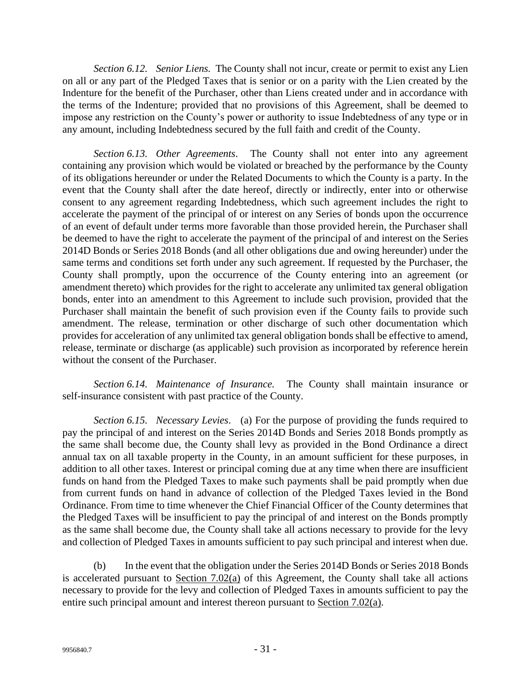*Section 6.12. Senior Liens.* The County shall not incur, create or permit to exist any Lien on all or any part of the Pledged Taxes that is senior or on a parity with the Lien created by the Indenture for the benefit of the Purchaser, other than Liens created under and in accordance with the terms of the Indenture; provided that no provisions of this Agreement, shall be deemed to impose any restriction on the County's power or authority to issue Indebtedness of any type or in any amount, including Indebtedness secured by the full faith and credit of the County.

*Section 6.13. Other Agreements*. The County shall not enter into any agreement containing any provision which would be violated or breached by the performance by the County of its obligations hereunder or under the Related Documents to which the County is a party. In the event that the County shall after the date hereof, directly or indirectly, enter into or otherwise consent to any agreement regarding Indebtedness, which such agreement includes the right to accelerate the payment of the principal of or interest on any Series of bonds upon the occurrence of an event of default under terms more favorable than those provided herein, the Purchaser shall be deemed to have the right to accelerate the payment of the principal of and interest on the Series 2014D Bonds or Series 2018 Bonds (and all other obligations due and owing hereunder) under the same terms and conditions set forth under any such agreement. If requested by the Purchaser, the County shall promptly, upon the occurrence of the County entering into an agreement (or amendment thereto) which provides for the right to accelerate any unlimited tax general obligation bonds, enter into an amendment to this Agreement to include such provision, provided that the Purchaser shall maintain the benefit of such provision even if the County fails to provide such amendment. The release, termination or other discharge of such other documentation which provides for acceleration of any unlimited tax general obligation bonds shall be effective to amend, release, terminate or discharge (as applicable) such provision as incorporated by reference herein without the consent of the Purchaser.

*Section 6.14. Maintenance of Insurance.* The County shall maintain insurance or self-insurance consistent with past practice of the County.

*Section 6.15. Necessary Levies*. (a) For the purpose of providing the funds required to pay the principal of and interest on the Series 2014D Bonds and Series 2018 Bonds promptly as the same shall become due, the County shall levy as provided in the Bond Ordinance a direct annual tax on all taxable property in the County, in an amount sufficient for these purposes, in addition to all other taxes. Interest or principal coming due at any time when there are insufficient funds on hand from the Pledged Taxes to make such payments shall be paid promptly when due from current funds on hand in advance of collection of the Pledged Taxes levied in the Bond Ordinance. From time to time whenever the Chief Financial Officer of the County determines that the Pledged Taxes will be insufficient to pay the principal of and interest on the Bonds promptly as the same shall become due, the County shall take all actions necessary to provide for the levy and collection of Pledged Taxes in amounts sufficient to pay such principal and interest when due.

(b) In the event that the obligation under the Series 2014D Bonds or Series 2018 Bonds is accelerated pursuant to Section 7.02(a) of this Agreement, the County shall take all actions necessary to provide for the levy and collection of Pledged Taxes in amounts sufficient to pay the entire such principal amount and interest thereon pursuant to Section 7.02(a).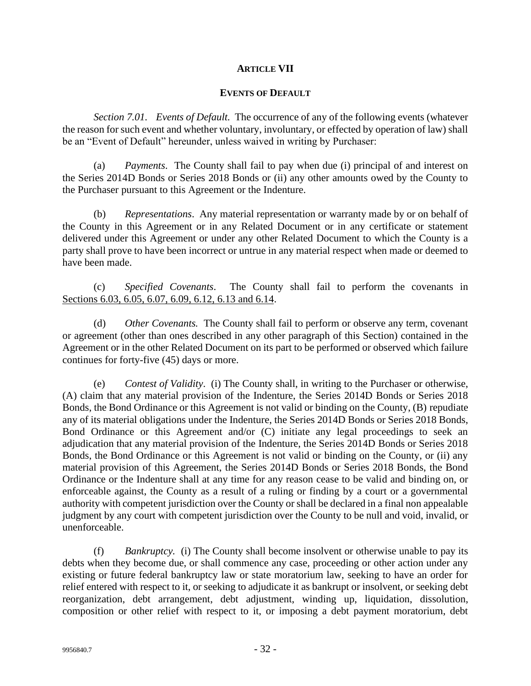### **ARTICLE VII**

### **EVENTS OF DEFAULT**

*Section 7.01. Events of Default.* The occurrence of any of the following events (whatever the reason for such event and whether voluntary, involuntary, or effected by operation of law) shall be an "Event of Default" hereunder, unless waived in writing by Purchaser:

(a) *Payments*.The County shall fail to pay when due (i) principal of and interest on the Series 2014D Bonds or Series 2018 Bonds or (ii) any other amounts owed by the County to the Purchaser pursuant to this Agreement or the Indenture.

(b) *Representations*. Any material representation or warranty made by or on behalf of the County in this Agreement or in any Related Document or in any certificate or statement delivered under this Agreement or under any other Related Document to which the County is a party shall prove to have been incorrect or untrue in any material respect when made or deemed to have been made.

(c) *Specified Covenants*. The County shall fail to perform the covenants in Sections 6.03, 6.05, 6.07, 6.09, 6.12, 6.13 and 6.14.

(d) *Other Covenants.* The County shall fail to perform or observe any term, covenant or agreement (other than ones described in any other paragraph of this Section) contained in the Agreement or in the other Related Document on its part to be performed or observed which failure continues for forty-five (45) days or more.

(e) *Contest of Validity*. (i) The County shall, in writing to the Purchaser or otherwise, (A) claim that any material provision of the Indenture, the Series 2014D Bonds or Series 2018 Bonds, the Bond Ordinance or this Agreement is not valid or binding on the County, (B) repudiate any of its material obligations under the Indenture, the Series 2014D Bonds or Series 2018 Bonds, Bond Ordinance or this Agreement and/or (C) initiate any legal proceedings to seek an adjudication that any material provision of the Indenture, the Series 2014D Bonds or Series 2018 Bonds, the Bond Ordinance or this Agreement is not valid or binding on the County, or (ii) any material provision of this Agreement, the Series 2014D Bonds or Series 2018 Bonds, the Bond Ordinance or the Indenture shall at any time for any reason cease to be valid and binding on, or enforceable against, the County as a result of a ruling or finding by a court or a governmental authority with competent jurisdiction over the County or shall be declared in a final non appealable judgment by any court with competent jurisdiction over the County to be null and void, invalid, or unenforceable.

(f) *Bankruptcy.* (i) The County shall become insolvent or otherwise unable to pay its debts when they become due, or shall commence any case, proceeding or other action under any existing or future federal bankruptcy law or state moratorium law, seeking to have an order for relief entered with respect to it, or seeking to adjudicate it as bankrupt or insolvent, or seeking debt reorganization, debt arrangement, debt adjustment, winding up, liquidation, dissolution, composition or other relief with respect to it, or imposing a debt payment moratorium, debt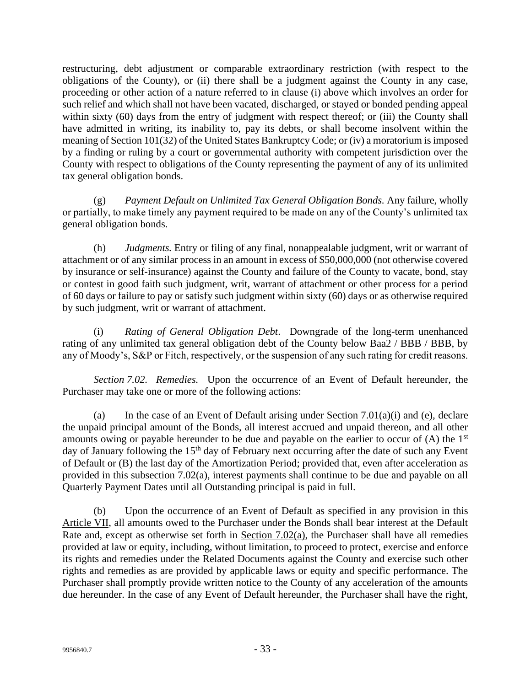restructuring, debt adjustment or comparable extraordinary restriction (with respect to the obligations of the County), or (ii) there shall be a judgment against the County in any case, proceeding or other action of a nature referred to in clause (i) above which involves an order for such relief and which shall not have been vacated, discharged, or stayed or bonded pending appeal within sixty (60) days from the entry of judgment with respect thereof; or (iii) the County shall have admitted in writing, its inability to, pay its debts, or shall become insolvent within the meaning of Section 101(32) of the United States Bankruptcy Code; or (iv) a moratorium is imposed by a finding or ruling by a court or governmental authority with competent jurisdiction over the County with respect to obligations of the County representing the payment of any of its unlimited tax general obligation bonds.

(g) *Payment Default on Unlimited Tax General Obligation Bonds.* Any failure, wholly or partially, to make timely any payment required to be made on any of the County's unlimited tax general obligation bonds.

(h) *Judgments.* Entry or filing of any final, nonappealable judgment, writ or warrant of attachment or of any similar process in an amount in excess of \$50,000,000 (not otherwise covered by insurance or self-insurance) against the County and failure of the County to vacate, bond, stay or contest in good faith such judgment, writ, warrant of attachment or other process for a period of 60 days or failure to pay or satisfy such judgment within sixty (60) days or as otherwise required by such judgment, writ or warrant of attachment.

(i) *Rating of General Obligation Debt*. Downgrade of the long-term unenhanced rating of any unlimited tax general obligation debt of the County below Baa2 / BBB / BBB, by any of Moody's, S&P or Fitch, respectively, or the suspension of any such rating for credit reasons.

*Section 7.02. Remedies.* Upon the occurrence of an Event of Default hereunder, the Purchaser may take one or more of the following actions:

(a) In the case of an Event of Default arising under Section 7.01(a)(i) and (e), declare the unpaid principal amount of the Bonds, all interest accrued and unpaid thereon, and all other amounts owing or payable hereunder to be due and payable on the earlier to occur of  $(A)$  the  $1<sup>st</sup>$ day of January following the  $15<sup>th</sup>$  day of February next occurring after the date of such any Event of Default or (B) the last day of the Amortization Period; provided that, even after acceleration as provided in this subsection 7.02(a), interest payments shall continue to be due and payable on all Quarterly Payment Dates until all Outstanding principal is paid in full.

(b) Upon the occurrence of an Event of Default as specified in any provision in this Article VII, all amounts owed to the Purchaser under the Bonds shall bear interest at the Default Rate and, except as otherwise set forth in Section 7.02(a), the Purchaser shall have all remedies provided at law or equity, including, without limitation, to proceed to protect, exercise and enforce its rights and remedies under the Related Documents against the County and exercise such other rights and remedies as are provided by applicable laws or equity and specific performance. The Purchaser shall promptly provide written notice to the County of any acceleration of the amounts due hereunder. In the case of any Event of Default hereunder, the Purchaser shall have the right,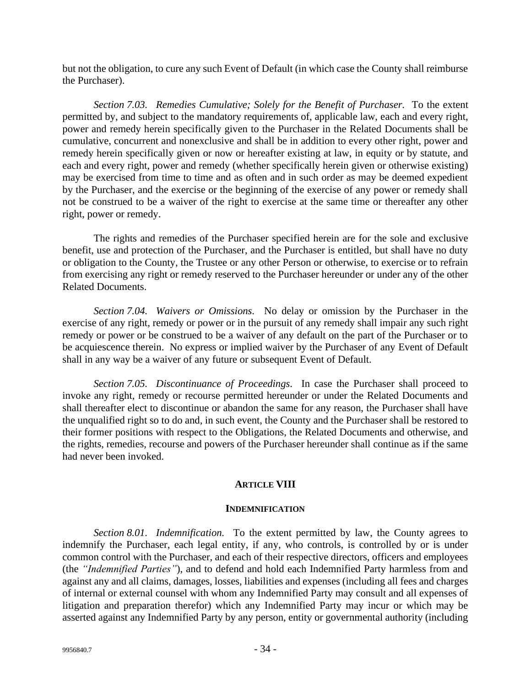but not the obligation, to cure any such Event of Default (in which case the County shall reimburse the Purchaser).

*Section 7.03. Remedies Cumulative; Solely for the Benefit of Purchaser.* To the extent permitted by, and subject to the mandatory requirements of, applicable law, each and every right, power and remedy herein specifically given to the Purchaser in the Related Documents shall be cumulative, concurrent and nonexclusive and shall be in addition to every other right, power and remedy herein specifically given or now or hereafter existing at law, in equity or by statute, and each and every right, power and remedy (whether specifically herein given or otherwise existing) may be exercised from time to time and as often and in such order as may be deemed expedient by the Purchaser, and the exercise or the beginning of the exercise of any power or remedy shall not be construed to be a waiver of the right to exercise at the same time or thereafter any other right, power or remedy.

The rights and remedies of the Purchaser specified herein are for the sole and exclusive benefit, use and protection of the Purchaser, and the Purchaser is entitled, but shall have no duty or obligation to the County, the Trustee or any other Person or otherwise, to exercise or to refrain from exercising any right or remedy reserved to the Purchaser hereunder or under any of the other Related Documents.

*Section 7.04. Waivers or Omissions.* No delay or omission by the Purchaser in the exercise of any right, remedy or power or in the pursuit of any remedy shall impair any such right remedy or power or be construed to be a waiver of any default on the part of the Purchaser or to be acquiescence therein. No express or implied waiver by the Purchaser of any Event of Default shall in any way be a waiver of any future or subsequent Event of Default.

*Section 7.05. Discontinuance of Proceedings.* In case the Purchaser shall proceed to invoke any right, remedy or recourse permitted hereunder or under the Related Documents and shall thereafter elect to discontinue or abandon the same for any reason, the Purchaser shall have the unqualified right so to do and, in such event, the County and the Purchaser shall be restored to their former positions with respect to the Obligations, the Related Documents and otherwise, and the rights, remedies, recourse and powers of the Purchaser hereunder shall continue as if the same had never been invoked.

# **ARTICLE VIII**

### **INDEMNIFICATION**

*Section 8.01. Indemnification.* To the extent permitted by law, the County agrees to indemnify the Purchaser, each legal entity, if any, who controls, is controlled by or is under common control with the Purchaser, and each of their respective directors, officers and employees (the *"Indemnified Parties"*), and to defend and hold each Indemnified Party harmless from and against any and all claims, damages, losses, liabilities and expenses (including all fees and charges of internal or external counsel with whom any Indemnified Party may consult and all expenses of litigation and preparation therefor) which any Indemnified Party may incur or which may be asserted against any Indemnified Party by any person, entity or governmental authority (including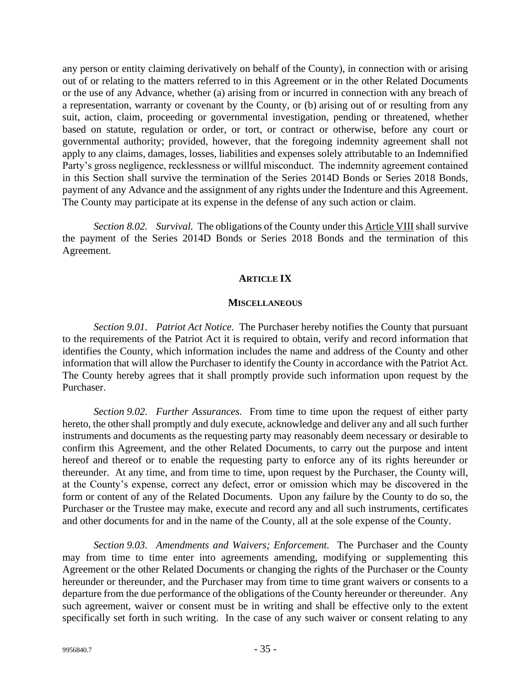any person or entity claiming derivatively on behalf of the County), in connection with or arising out of or relating to the matters referred to in this Agreement or in the other Related Documents or the use of any Advance, whether (a) arising from or incurred in connection with any breach of a representation, warranty or covenant by the County, or (b) arising out of or resulting from any suit, action, claim, proceeding or governmental investigation, pending or threatened, whether based on statute, regulation or order, or tort, or contract or otherwise, before any court or governmental authority; provided, however, that the foregoing indemnity agreement shall not apply to any claims, damages, losses, liabilities and expenses solely attributable to an Indemnified Party's gross negligence, recklessness or willful misconduct. The indemnity agreement contained in this Section shall survive the termination of the Series 2014D Bonds or Series 2018 Bonds, payment of any Advance and the assignment of any rights under the Indenture and this Agreement. The County may participate at its expense in the defense of any such action or claim.

*Section 8.02. Survival.* The obligations of the County under this Article VIII shall survive the payment of the Series 2014D Bonds or Series 2018 Bonds and the termination of this Agreement.

# **ARTICLE IX**

#### **MISCELLANEOUS**

*Section 9.01. Patriot Act Notice.* The Purchaser hereby notifies the County that pursuant to the requirements of the Patriot Act it is required to obtain, verify and record information that identifies the County, which information includes the name and address of the County and other information that will allow the Purchaser to identify the County in accordance with the Patriot Act. The County hereby agrees that it shall promptly provide such information upon request by the Purchaser.

*Section 9.02. Further Assurances.* From time to time upon the request of either party hereto, the other shall promptly and duly execute, acknowledge and deliver any and all such further instruments and documents as the requesting party may reasonably deem necessary or desirable to confirm this Agreement, and the other Related Documents, to carry out the purpose and intent hereof and thereof or to enable the requesting party to enforce any of its rights hereunder or thereunder. At any time, and from time to time, upon request by the Purchaser, the County will, at the County's expense, correct any defect, error or omission which may be discovered in the form or content of any of the Related Documents. Upon any failure by the County to do so, the Purchaser or the Trustee may make, execute and record any and all such instruments, certificates and other documents for and in the name of the County, all at the sole expense of the County.

*Section 9.03. Amendments and Waivers; Enforcement.* The Purchaser and the County may from time to time enter into agreements amending, modifying or supplementing this Agreement or the other Related Documents or changing the rights of the Purchaser or the County hereunder or thereunder, and the Purchaser may from time to time grant waivers or consents to a departure from the due performance of the obligations of the County hereunder or thereunder. Any such agreement, waiver or consent must be in writing and shall be effective only to the extent specifically set forth in such writing. In the case of any such waiver or consent relating to any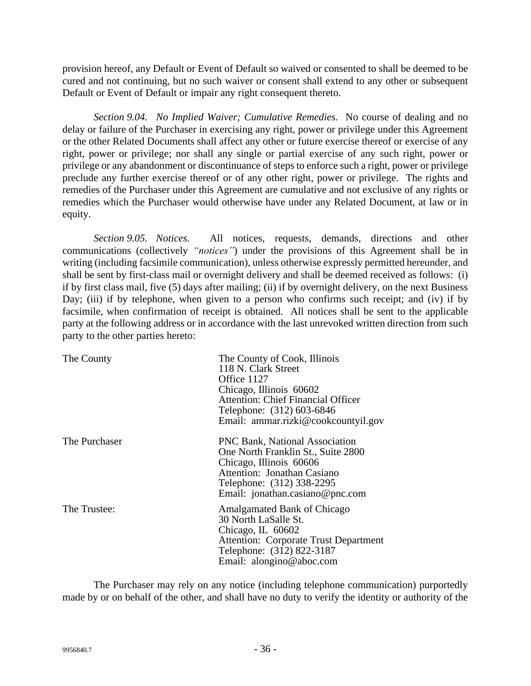provision hereof, any Default or Event of Default so waived or consented to shall be deemed to be cured and not continuing, but no such waiver or consent shall extend to any other or subsequent Default or Event of Default or impair any right consequent thereto.

*Section 9.04. No Implied Waiver; Cumulative Remedies.* No course of dealing and no delay or failure of the Purchaser in exercising any right, power or privilege under this Agreement or the other Related Documents shall affect any other or future exercise thereof or exercise of any right, power or privilege; nor shall any single or partial exercise of any such right, power or privilege or any abandonment or discontinuance of steps to enforce such a right, power or privilege preclude any further exercise thereof or of any other right, power or privilege. The rights and remedies of the Purchaser under this Agreement are cumulative and not exclusive of any rights or remedies which the Purchaser would otherwise have under any Related Document, at law or in equity.

*Section 9.05. Notices.* All notices, requests, demands, directions and other communications (collectively *"notices"*) under the provisions of this Agreement shall be in writing (including facsimile communication), unless otherwise expressly permitted hereunder, and shall be sent by first-class mail or overnight delivery and shall be deemed received as follows: (i) if by first class mail, five (5) days after mailing; (ii) if by overnight delivery, on the next Business Day; (iii) if by telephone, when given to a person who confirms such receipt; and (iv) if by facsimile, when confirmation of receipt is obtained. All notices shall be sent to the applicable party at the following address or in accordance with the last unrevoked written direction from such party to the other parties hereto:

| The County    | The County of Cook, Illinois<br>118 N. Clark Street<br>Office 1127<br>Chicago, Illinois 60602<br><b>Attention: Chief Financial Officer</b><br>Telephone: (312) 603-6846<br>Email: ammar.rizki@cookcountyil.gov |
|---------------|----------------------------------------------------------------------------------------------------------------------------------------------------------------------------------------------------------------|
| The Purchaser | <b>PNC Bank, National Association</b><br>One North Franklin St., Suite 2800<br>Chicago, Illinois 60606<br>Attention: Jonathan Casiano<br>Telephone: (312) 338-2295<br>Email: jonathan.casiano@pnc.com          |
| The Trustee:  | Amalgamated Bank of Chicago<br>30 North LaSalle St.<br>Chicago, IL 60602<br><b>Attention: Corporate Trust Department</b><br>Telephone: (312) 822-3187<br>Email: alongino@aboc.com                              |

The Purchaser may rely on any notice (including telephone communication) purportedly made by or on behalf of the other, and shall have no duty to verify the identity or authority of the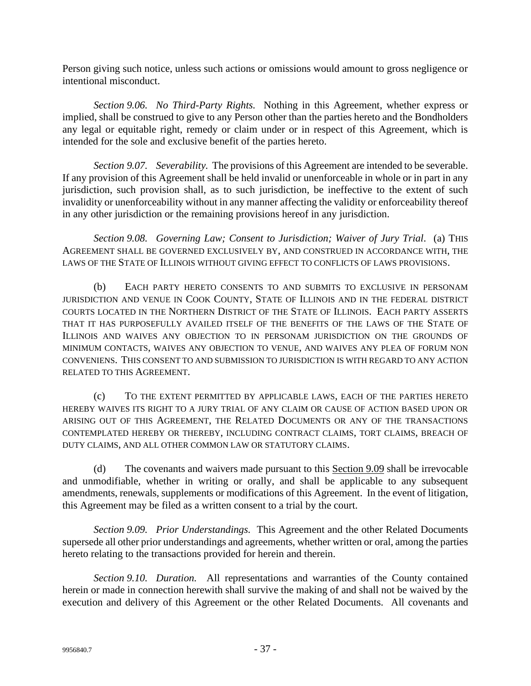Person giving such notice, unless such actions or omissions would amount to gross negligence or intentional misconduct.

*Section 9.06. No Third-Party Rights.* Nothing in this Agreement, whether express or implied, shall be construed to give to any Person other than the parties hereto and the Bondholders any legal or equitable right, remedy or claim under or in respect of this Agreement, which is intended for the sole and exclusive benefit of the parties hereto.

*Section 9.07. Severability.* The provisions of this Agreement are intended to be severable. If any provision of this Agreement shall be held invalid or unenforceable in whole or in part in any jurisdiction, such provision shall, as to such jurisdiction, be ineffective to the extent of such invalidity or unenforceability without in any manner affecting the validity or enforceability thereof in any other jurisdiction or the remaining provisions hereof in any jurisdiction.

*Section 9.08. Governing Law; Consent to Jurisdiction; Waiver of Jury Trial.* (a) THIS AGREEMENT SHALL BE GOVERNED EXCLUSIVELY BY, AND CONSTRUED IN ACCORDANCE WITH, THE LAWS OF THE STATE OF ILLINOIS WITHOUT GIVING EFFECT TO CONFLICTS OF LAWS PROVISIONS.

(b) EACH PARTY HERETO CONSENTS TO AND SUBMITS TO EXCLUSIVE IN PERSONAM JURISDICTION AND VENUE IN COOK COUNTY, STATE OF ILLINOIS AND IN THE FEDERAL DISTRICT COURTS LOCATED IN THE NORTHERN DISTRICT OF THE STATE OF ILLINOIS. EACH PARTY ASSERTS THAT IT HAS PURPOSEFULLY AVAILED ITSELF OF THE BENEFITS OF THE LAWS OF THE STATE OF ILLINOIS AND WAIVES ANY OBJECTION TO IN PERSONAM JURISDICTION ON THE GROUNDS OF MINIMUM CONTACTS, WAIVES ANY OBJECTION TO VENUE, AND WAIVES ANY PLEA OF FORUM NON CONVENIENS. THIS CONSENT TO AND SUBMISSION TO JURISDICTION IS WITH REGARD TO ANY ACTION RELATED TO THIS AGREEMENT.

(c) TO THE EXTENT PERMITTED BY APPLICABLE LAWS, EACH OF THE PARTIES HERETO HEREBY WAIVES ITS RIGHT TO A JURY TRIAL OF ANY CLAIM OR CAUSE OF ACTION BASED UPON OR ARISING OUT OF THIS AGREEMENT, THE RELATED DOCUMENTS OR ANY OF THE TRANSACTIONS CONTEMPLATED HEREBY OR THEREBY, INCLUDING CONTRACT CLAIMS, TORT CLAIMS, BREACH OF DUTY CLAIMS, AND ALL OTHER COMMON LAW OR STATUTORY CLAIMS.

(d) The covenants and waivers made pursuant to this Section 9.09 shall be irrevocable and unmodifiable, whether in writing or orally, and shall be applicable to any subsequent amendments, renewals, supplements or modifications of this Agreement. In the event of litigation, this Agreement may be filed as a written consent to a trial by the court.

*Section 9.09. Prior Understandings.* This Agreement and the other Related Documents supersede all other prior understandings and agreements, whether written or oral, among the parties hereto relating to the transactions provided for herein and therein.

*Section 9.10. Duration.* All representations and warranties of the County contained herein or made in connection herewith shall survive the making of and shall not be waived by the execution and delivery of this Agreement or the other Related Documents. All covenants and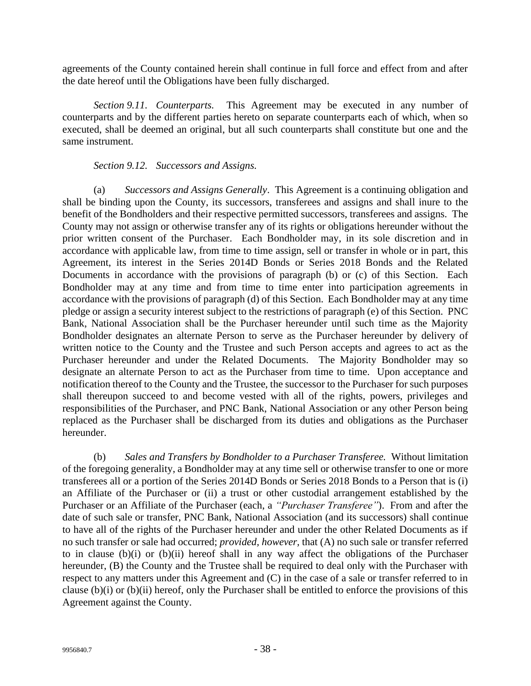agreements of the County contained herein shall continue in full force and effect from and after the date hereof until the Obligations have been fully discharged.

*Section 9.11. Counterparts.* This Agreement may be executed in any number of counterparts and by the different parties hereto on separate counterparts each of which, when so executed, shall be deemed an original, but all such counterparts shall constitute but one and the same instrument.

# *Section 9.12. Successors and Assigns.*

(a) *Successors and Assigns Generally*. This Agreement is a continuing obligation and shall be binding upon the County, its successors, transferees and assigns and shall inure to the benefit of the Bondholders and their respective permitted successors, transferees and assigns. The County may not assign or otherwise transfer any of its rights or obligations hereunder without the prior written consent of the Purchaser. Each Bondholder may, in its sole discretion and in accordance with applicable law, from time to time assign, sell or transfer in whole or in part, this Agreement, its interest in the Series 2014D Bonds or Series 2018 Bonds and the Related Documents in accordance with the provisions of paragraph (b) or (c) of this Section. Each Bondholder may at any time and from time to time enter into participation agreements in accordance with the provisions of paragraph (d) of this Section. Each Bondholder may at any time pledge or assign a security interest subject to the restrictions of paragraph (e) of this Section. PNC Bank, National Association shall be the Purchaser hereunder until such time as the Majority Bondholder designates an alternate Person to serve as the Purchaser hereunder by delivery of written notice to the County and the Trustee and such Person accepts and agrees to act as the Purchaser hereunder and under the Related Documents. The Majority Bondholder may so designate an alternate Person to act as the Purchaser from time to time. Upon acceptance and notification thereof to the County and the Trustee, the successor to the Purchaser for such purposes shall thereupon succeed to and become vested with all of the rights, powers, privileges and responsibilities of the Purchaser, and PNC Bank, National Association or any other Person being replaced as the Purchaser shall be discharged from its duties and obligations as the Purchaser hereunder.

(b) *Sales and Transfers by Bondholder to a Purchaser Transferee.* Without limitation of the foregoing generality, a Bondholder may at any time sell or otherwise transfer to one or more transferees all or a portion of the Series 2014D Bonds or Series 2018 Bonds to a Person that is (i) an Affiliate of the Purchaser or (ii) a trust or other custodial arrangement established by the Purchaser or an Affiliate of the Purchaser (each, a *"Purchaser Transferee"*). From and after the date of such sale or transfer, PNC Bank, National Association (and its successors) shall continue to have all of the rights of the Purchaser hereunder and under the other Related Documents as if no such transfer or sale had occurred; *provided, however,* that (A) no such sale or transfer referred to in clause (b)(i) or (b)(ii) hereof shall in any way affect the obligations of the Purchaser hereunder, (B) the County and the Trustee shall be required to deal only with the Purchaser with respect to any matters under this Agreement and (C) in the case of a sale or transfer referred to in clause (b)(i) or (b)(ii) hereof, only the Purchaser shall be entitled to enforce the provisions of this Agreement against the County.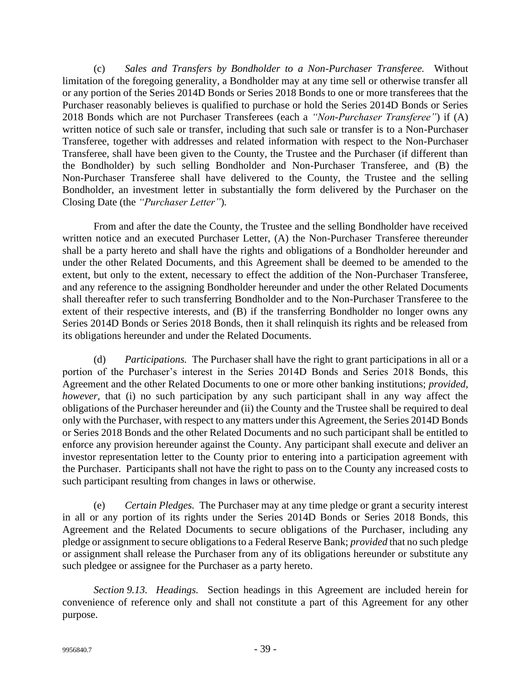(c) *Sales and Transfers by Bondholder to a Non-Purchaser Transferee.* Without limitation of the foregoing generality, a Bondholder may at any time sell or otherwise transfer all or any portion of the Series 2014D Bonds or Series 2018 Bonds to one or more transferees that the Purchaser reasonably believes is qualified to purchase or hold the Series 2014D Bonds or Series 2018 Bonds which are not Purchaser Transferees (each a *"Non-Purchaser Transferee"*) if (A) written notice of such sale or transfer, including that such sale or transfer is to a Non-Purchaser Transferee, together with addresses and related information with respect to the Non-Purchaser Transferee, shall have been given to the County, the Trustee and the Purchaser (if different than the Bondholder) by such selling Bondholder and Non-Purchaser Transferee, and (B) the Non-Purchaser Transferee shall have delivered to the County, the Trustee and the selling Bondholder, an investment letter in substantially the form delivered by the Purchaser on the Closing Date (the *"Purchaser Letter"*)*.*

From and after the date the County, the Trustee and the selling Bondholder have received written notice and an executed Purchaser Letter, (A) the Non-Purchaser Transferee thereunder shall be a party hereto and shall have the rights and obligations of a Bondholder hereunder and under the other Related Documents, and this Agreement shall be deemed to be amended to the extent, but only to the extent, necessary to effect the addition of the Non-Purchaser Transferee, and any reference to the assigning Bondholder hereunder and under the other Related Documents shall thereafter refer to such transferring Bondholder and to the Non-Purchaser Transferee to the extent of their respective interests, and (B) if the transferring Bondholder no longer owns any Series 2014D Bonds or Series 2018 Bonds, then it shall relinquish its rights and be released from its obligations hereunder and under the Related Documents.

(d) *Participations.* The Purchaser shall have the right to grant participations in all or a portion of the Purchaser's interest in the Series 2014D Bonds and Series 2018 Bonds, this Agreement and the other Related Documents to one or more other banking institutions; *provided, however*, that (i) no such participation by any such participant shall in any way affect the obligations of the Purchaser hereunder and (ii) the County and the Trustee shall be required to deal only with the Purchaser, with respect to any matters under this Agreement, the Series 2014D Bonds or Series 2018 Bonds and the other Related Documents and no such participant shall be entitled to enforce any provision hereunder against the County. Any participant shall execute and deliver an investor representation letter to the County prior to entering into a participation agreement with the Purchaser. Participants shall not have the right to pass on to the County any increased costs to such participant resulting from changes in laws or otherwise.

(e) *Certain Pledges.* The Purchaser may at any time pledge or grant a security interest in all or any portion of its rights under the Series 2014D Bonds or Series 2018 Bonds, this Agreement and the Related Documents to secure obligations of the Purchaser, including any pledge or assignment to secure obligations to a Federal Reserve Bank; *provided* that no such pledge or assignment shall release the Purchaser from any of its obligations hereunder or substitute any such pledgee or assignee for the Purchaser as a party hereto.

*Section 9.13. Headings.* Section headings in this Agreement are included herein for convenience of reference only and shall not constitute a part of this Agreement for any other purpose.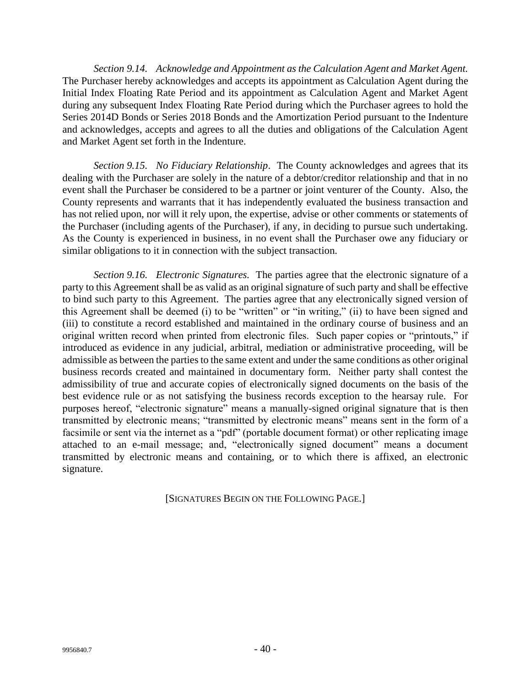*Section 9.14. Acknowledge and Appointment as the Calculation Agent and Market Agent.* The Purchaser hereby acknowledges and accepts its appointment as Calculation Agent during the Initial Index Floating Rate Period and its appointment as Calculation Agent and Market Agent during any subsequent Index Floating Rate Period during which the Purchaser agrees to hold the Series 2014D Bonds or Series 2018 Bonds and the Amortization Period pursuant to the Indenture and acknowledges, accepts and agrees to all the duties and obligations of the Calculation Agent and Market Agent set forth in the Indenture.

*Section 9.15. No Fiduciary Relationship*. The County acknowledges and agrees that its dealing with the Purchaser are solely in the nature of a debtor/creditor relationship and that in no event shall the Purchaser be considered to be a partner or joint venturer of the County. Also, the County represents and warrants that it has independently evaluated the business transaction and has not relied upon, nor will it rely upon, the expertise, advise or other comments or statements of the Purchaser (including agents of the Purchaser), if any, in deciding to pursue such undertaking. As the County is experienced in business, in no event shall the Purchaser owe any fiduciary or similar obligations to it in connection with the subject transaction.

*Section 9.16. Electronic Signatures.* The parties agree that the electronic signature of a party to this Agreement shall be as valid as an original signature of such party and shall be effective to bind such party to this Agreement. The parties agree that any electronically signed version of this Agreement shall be deemed (i) to be "written" or "in writing," (ii) to have been signed and (iii) to constitute a record established and maintained in the ordinary course of business and an original written record when printed from electronic files. Such paper copies or "printouts," if introduced as evidence in any judicial, arbitral, mediation or administrative proceeding, will be admissible as between the parties to the same extent and under the same conditions as other original business records created and maintained in documentary form. Neither party shall contest the admissibility of true and accurate copies of electronically signed documents on the basis of the best evidence rule or as not satisfying the business records exception to the hearsay rule. For purposes hereof, "electronic signature" means a manually-signed original signature that is then transmitted by electronic means; "transmitted by electronic means" means sent in the form of a facsimile or sent via the internet as a "pdf" (portable document format) or other replicating image attached to an e-mail message; and, "electronically signed document" means a document transmitted by electronic means and containing, or to which there is affixed, an electronic signature.

[SIGNATURES BEGIN ON THE FOLLOWING PAGE.]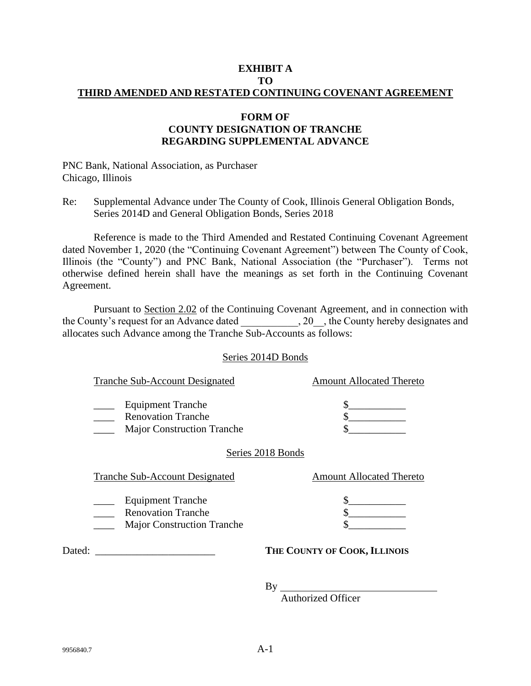### **EXHIBIT A TO THIRD AMENDED AND RESTATED CONTINUING COVENANT AGREEMENT**

# **FORM OF COUNTY DESIGNATION OF TRANCHE REGARDING SUPPLEMENTAL ADVANCE**

PNC Bank, National Association, as Purchaser Chicago, Illinois

Re: Supplemental Advance under The County of Cook, Illinois General Obligation Bonds, Series 2014D and General Obligation Bonds, Series 2018

Reference is made to the Third Amended and Restated Continuing Covenant Agreement dated November 1, 2020 (the "Continuing Covenant Agreement") between The County of Cook, Illinois (the "County") and PNC Bank, National Association (the "Purchaser"). Terms not otherwise defined herein shall have the meanings as set forth in the Continuing Covenant Agreement.

Pursuant to Section 2.02 of the Continuing Covenant Agreement, and in connection with the County's request for an Advance dated . 20 , the County hereby designates and allocates such Advance among the Tranche Sub-Accounts as follows:

### Series 2014D Bonds

| Tranche Sub-Account Designated                                                             | <b>Amount Allocated Thereto</b> |
|--------------------------------------------------------------------------------------------|---------------------------------|
| <b>Equipment Tranche</b><br><b>Renovation Tranche</b><br><b>Major Construction Tranche</b> | S                               |
| Series 2018 Bonds                                                                          |                                 |
| <b>Tranche Sub-Account Designated</b>                                                      | <b>Amount Allocated Thereto</b> |
| <b>Equipment Tranche</b><br><b>Renovation Tranche</b>                                      |                                 |
| <b>Major Construction Tranche</b>                                                          |                                 |
| Dated:                                                                                     | THE COUNTY OF COOK, ILLINOIS    |

By

Authorized Officer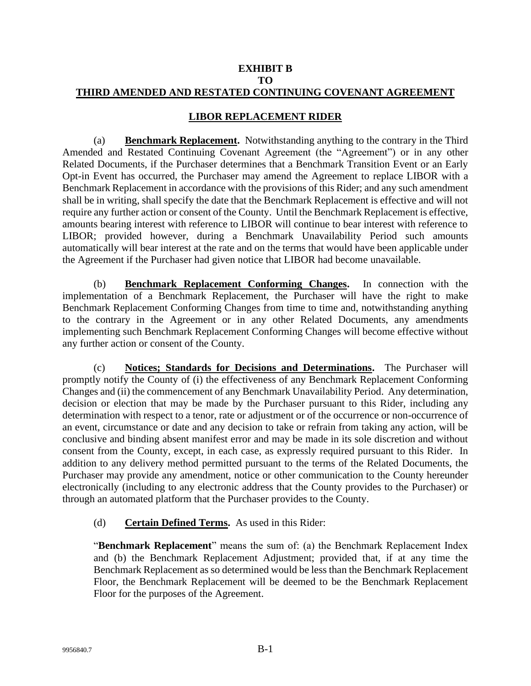#### **EXHIBIT B TO THIRD AMENDED AND RESTATED CONTINUING COVENANT AGREEMENT**

# **LIBOR REPLACEMENT RIDER**

(a) **Benchmark Replacement.** Notwithstanding anything to the contrary in the Third Amended and Restated Continuing Covenant Agreement (the "Agreement") or in any other Related Documents, if the Purchaser determines that a Benchmark Transition Event or an Early Opt-in Event has occurred, the Purchaser may amend the Agreement to replace LIBOR with a Benchmark Replacement in accordance with the provisions of this Rider; and any such amendment shall be in writing, shall specify the date that the Benchmark Replacement is effective and will not require any further action or consent of the County. Until the Benchmark Replacement is effective, amounts bearing interest with reference to LIBOR will continue to bear interest with reference to LIBOR; provided however, during a Benchmark Unavailability Period such amounts automatically will bear interest at the rate and on the terms that would have been applicable under the Agreement if the Purchaser had given notice that LIBOR had become unavailable.

(b) **Benchmark Replacement Conforming Changes.** In connection with the implementation of a Benchmark Replacement, the Purchaser will have the right to make Benchmark Replacement Conforming Changes from time to time and, notwithstanding anything to the contrary in the Agreement or in any other Related Documents, any amendments implementing such Benchmark Replacement Conforming Changes will become effective without any further action or consent of the County.

(c) **Notices; Standards for Decisions and Determinations.** The Purchaser will promptly notify the County of (i) the effectiveness of any Benchmark Replacement Conforming Changes and (ii) the commencement of any Benchmark Unavailability Period. Any determination, decision or election that may be made by the Purchaser pursuant to this Rider, including any determination with respect to a tenor, rate or adjustment or of the occurrence or non-occurrence of an event, circumstance or date and any decision to take or refrain from taking any action, will be conclusive and binding absent manifest error and may be made in its sole discretion and without consent from the County, except, in each case, as expressly required pursuant to this Rider. In addition to any delivery method permitted pursuant to the terms of the Related Documents, the Purchaser may provide any amendment, notice or other communication to the County hereunder electronically (including to any electronic address that the County provides to the Purchaser) or through an automated platform that the Purchaser provides to the County.

### (d) **Certain Defined Terms.** As used in this Rider:

"**Benchmark Replacement**" means the sum of: (a) the Benchmark Replacement Index and (b) the Benchmark Replacement Adjustment; provided that, if at any time the Benchmark Replacement as so determined would be less than the Benchmark Replacement Floor, the Benchmark Replacement will be deemed to be the Benchmark Replacement Floor for the purposes of the Agreement.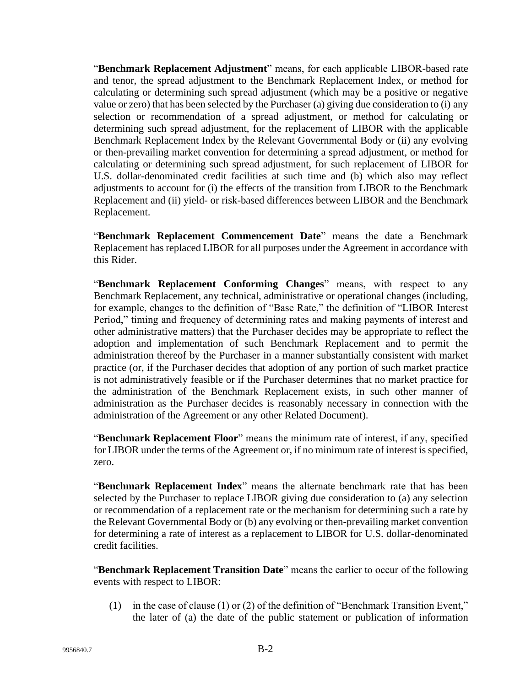"**Benchmark Replacement Adjustment**" means, for each applicable LIBOR-based rate and tenor, the spread adjustment to the Benchmark Replacement Index, or method for calculating or determining such spread adjustment (which may be a positive or negative value or zero) that has been selected by the Purchaser (a) giving due consideration to (i) any selection or recommendation of a spread adjustment, or method for calculating or determining such spread adjustment, for the replacement of LIBOR with the applicable Benchmark Replacement Index by the Relevant Governmental Body or (ii) any evolving or then-prevailing market convention for determining a spread adjustment, or method for calculating or determining such spread adjustment, for such replacement of LIBOR for U.S. dollar-denominated credit facilities at such time and (b) which also may reflect adjustments to account for (i) the effects of the transition from LIBOR to the Benchmark Replacement and (ii) yield- or risk-based differences between LIBOR and the Benchmark Replacement.

"**Benchmark Replacement Commencement Date**" means the date a Benchmark Replacement has replaced LIBOR for all purposes under the Agreement in accordance with this Rider.

"**Benchmark Replacement Conforming Changes**" means, with respect to any Benchmark Replacement, any technical, administrative or operational changes (including, for example, changes to the definition of "Base Rate," the definition of "LIBOR Interest Period," timing and frequency of determining rates and making payments of interest and other administrative matters) that the Purchaser decides may be appropriate to reflect the adoption and implementation of such Benchmark Replacement and to permit the administration thereof by the Purchaser in a manner substantially consistent with market practice (or, if the Purchaser decides that adoption of any portion of such market practice is not administratively feasible or if the Purchaser determines that no market practice for the administration of the Benchmark Replacement exists, in such other manner of administration as the Purchaser decides is reasonably necessary in connection with the administration of the Agreement or any other Related Document).

"**Benchmark Replacement Floor**" means the minimum rate of interest, if any, specified for LIBOR under the terms of the Agreement or, if no minimum rate of interest is specified, zero.

"**Benchmark Replacement Index**" means the alternate benchmark rate that has been selected by the Purchaser to replace LIBOR giving due consideration to (a) any selection or recommendation of a replacement rate or the mechanism for determining such a rate by the Relevant Governmental Body or (b) any evolving or then-prevailing market convention for determining a rate of interest as a replacement to LIBOR for U.S. dollar-denominated credit facilities.

"**Benchmark Replacement Transition Date**" means the earlier to occur of the following events with respect to LIBOR:

(1) in the case of clause (1) or (2) of the definition of "Benchmark Transition Event," the later of (a) the date of the public statement or publication of information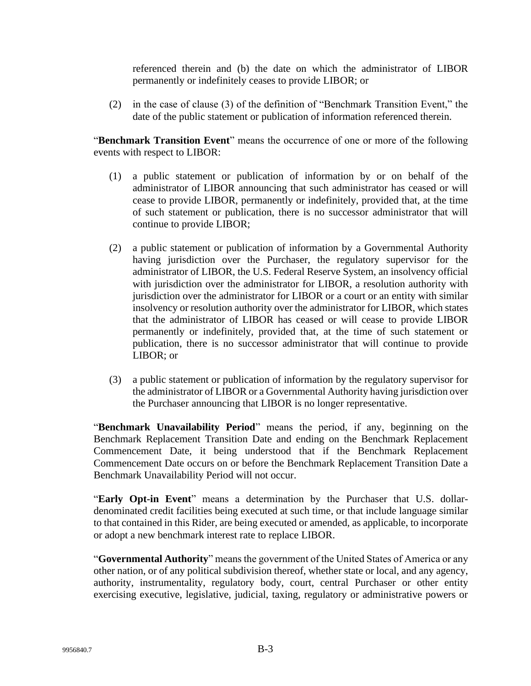referenced therein and (b) the date on which the administrator of LIBOR permanently or indefinitely ceases to provide LIBOR; or

(2) in the case of clause (3) of the definition of "Benchmark Transition Event," the date of the public statement or publication of information referenced therein.

"**Benchmark Transition Event**" means the occurrence of one or more of the following events with respect to LIBOR:

- (1) a public statement or publication of information by or on behalf of the administrator of LIBOR announcing that such administrator has ceased or will cease to provide LIBOR, permanently or indefinitely, provided that, at the time of such statement or publication, there is no successor administrator that will continue to provide LIBOR;
- (2) a public statement or publication of information by a Governmental Authority having jurisdiction over the Purchaser, the regulatory supervisor for the administrator of LIBOR, the U.S. Federal Reserve System, an insolvency official with jurisdiction over the administrator for LIBOR, a resolution authority with jurisdiction over the administrator for LIBOR or a court or an entity with similar insolvency or resolution authority over the administrator for LIBOR, which states that the administrator of LIBOR has ceased or will cease to provide LIBOR permanently or indefinitely, provided that, at the time of such statement or publication, there is no successor administrator that will continue to provide LIBOR; or
- (3) a public statement or publication of information by the regulatory supervisor for the administrator of LIBOR or a Governmental Authority having jurisdiction over the Purchaser announcing that LIBOR is no longer representative.

"**Benchmark Unavailability Period**" means the period, if any, beginning on the Benchmark Replacement Transition Date and ending on the Benchmark Replacement Commencement Date, it being understood that if the Benchmark Replacement Commencement Date occurs on or before the Benchmark Replacement Transition Date a Benchmark Unavailability Period will not occur.

"**Early Opt-in Event**" means a determination by the Purchaser that U.S. dollardenominated credit facilities being executed at such time, or that include language similar to that contained in this Rider, are being executed or amended, as applicable, to incorporate or adopt a new benchmark interest rate to replace LIBOR.

"**Governmental Authority**" means the government of the United States of America or any other nation, or of any political subdivision thereof, whether state or local, and any agency, authority, instrumentality, regulatory body, court, central Purchaser or other entity exercising executive, legislative, judicial, taxing, regulatory or administrative powers or